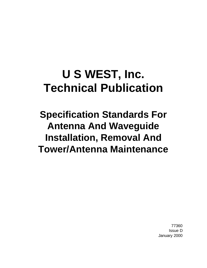# **U S WEST, Inc. Technical Publication**

# **Specification Standards For Antenna And Waveguide Installation, Removal And Tower/Antenna Maintenance**

77360 Issue D January 2000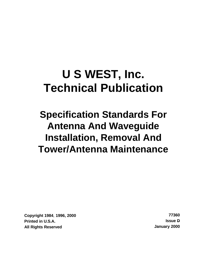# **U S WEST, Inc. Technical Publication**

# **Specification Standards For Antenna And Waveguide Installation, Removal And Tower/Antenna Maintenance**

**Copyright 1984**, **1996, 2000 77360 Printed in U.S.A. Issue D All Rights Reserved January 2000**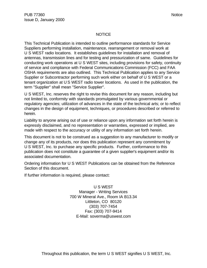#### NOTICE

This Technical Publication is intended to outline performance standards for Service Suppliers performing installation, maintenance, rearrangement or removal work at U S WEST radio locations. It establishes guidelines for installation and removal of antennas, transmission lines and for testing and pressurization of same. Guidelines for conducting work operations at U S WEST sites, including provisions for safety, continuity of service and compliance with Federal Communications Commission (FCC) and FAA OSHA requirements are also outlined. This Technical Publication applies to any Service Supplier or Subcontractor performing such work either on behalf of U S WEST or a tenant organization at U S WEST radio tower locations. As used in the publication, the term "Supplier" shall mean "Service Supplier".

U S WEST, Inc. reserves the right to revise this document for any reason, including but not limited to, conformity with standards promulgated by various governmental or regulatory agencies; utilization of advances in the state of the technical arts; or to reflect changes in the design of equipment, techniques, or procedures described or referred to herein.

Liability to anyone arising out of use or reliance upon any information set forth herein is expressly disclaimed, and no representation or warranties, expressed or implied, are made with respect to the accuracy or utility of any information set forth herein.

This document is not to be construed as a suggestion to any manufacturer to modify or change any of its products, nor does this publication represent any commitment by U S WEST, Inc. to purchase any specific products. Further, conformance to this publication does not constitute a guarantee of a given supplier's equipment and/or its associated documentation.

Ordering information for U S WEST Publications can be obtained from the Reference Section of this document.

If further information is required, please contact:

U S WEST Manager - Writing Services 700 W Mineral Ave., Room IA B13.34 Littleton, CO 80120 (303) 707-7454 Fax: (303) 707-9414 E-Mail: soverma@uswest.com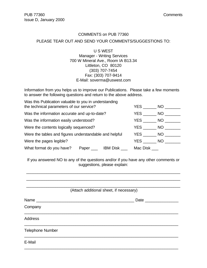#### COMMENTS on PUB 77360

#### PLEASE TEAR OUT AND SEND YOUR COMMENTS/SUGGESTIONS TO:

U S WEST Manager - Writing Services 700 W Mineral Ave., Room IA B13.34 Littleton, CO 80120 (303) 707-7454 Fax: (303) 707-9414 E-Mail: soverma@uswest.com

Information from you helps us to improve our Publications. Please take a few moments to answer the following questions and return to the above address.

| Was this Publication valuable to you in understanding  |                                          |          |            |      |  |
|--------------------------------------------------------|------------------------------------------|----------|------------|------|--|
|                                                        | the technical parameters of our service? |          |            |      |  |
| Was the information accurate and up-to-date?           |                                          | YES      | NO.        |      |  |
| Was the information easily understood?                 |                                          |          | <b>YES</b> | NO L |  |
| Were the contents logically sequenced?                 |                                          |          | YES        | NO . |  |
| Were the tables and figures understandable and helpful |                                          | YES      | NO.        |      |  |
| Were the pages legible?                                |                                          | YES      | NO.        |      |  |
| What format do you have?                               | IBM Disk                                 | Mac Disk |            |      |  |

If you answered NO to any of the questions and/or if you have any other comments or suggestions, please explain:

|                         | (Attach additional sheet, if necessary) |
|-------------------------|-----------------------------------------|
|                         |                                         |
| Company                 |                                         |
| <b>Address</b>          |                                         |
| <b>Telephone Number</b> |                                         |
| E-Mail                  |                                         |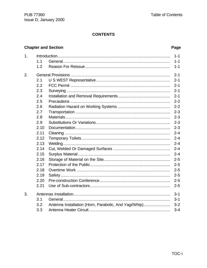### **CONTENTS**

# **Chapter and Section**

## Page

| 1 <sub>1</sub> |      | $1 - 1$ |
|----------------|------|---------|
|                | 1.1  | $1 - 1$ |
|                | 1.2  | $1 - 1$ |
| 2.             |      | $2 - 1$ |
|                | 2.1  | $2 - 1$ |
|                | 2.2  | $2 - 1$ |
|                | 2.3  | $2 - 1$ |
|                | 2.4  | $2 - 1$ |
|                | 2.5  | $2 - 2$ |
|                | 2.6  | $2 - 2$ |
|                | 2.7  | $2 - 3$ |
|                | 2.8  | $2 - 3$ |
|                | 2.9  | $2 - 3$ |
|                | 2.10 | $2 - 3$ |
|                | 2.11 | $2 - 4$ |
|                | 2.12 | $2 - 4$ |
|                | 2.13 | $2 - 4$ |
|                | 2.14 | $2 - 4$ |
|                | 2.15 | $2 - 4$ |
|                | 2.16 |         |
|                | 2.17 | $2 - 5$ |
|                | 2.18 | $2 - 5$ |
|                | 2.19 | $2 - 5$ |
|                | 2.20 | $2 - 5$ |
|                | 2.21 | $2 - 5$ |
| 3.             |      | $3 - 1$ |
|                | 3.1  | $3 - 1$ |
|                | 3.2  |         |
|                | 3.3  | $3 - 4$ |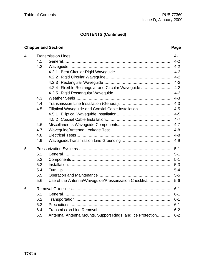# **CONTENTS (Continued)**

# **Chapter and Section Page 2018 19:30 Page 20:30 Page 20:30 Page 20:30 Page 20:30 Page 20:30 Page 20:30 Page 20:30 Page**

| 4. |     |                                                            | $4 - 1$ |
|----|-----|------------------------------------------------------------|---------|
|    | 4.1 |                                                            | $4 - 2$ |
|    | 4.2 |                                                            | $4 - 2$ |
|    |     |                                                            | $4 - 2$ |
|    |     |                                                            | $4 - 2$ |
|    |     |                                                            | $4 - 2$ |
|    |     | 4.2.4 Flexible Rectangular and Circular Waveguide          | $4 - 2$ |
|    |     |                                                            | $4 - 2$ |
|    | 4.3 |                                                            | $4 - 3$ |
|    | 4.4 |                                                            | $4 - 3$ |
|    | 4.5 | Elliptical Waveguide and Coaxial Cable Installation        | $4 - 5$ |
|    |     |                                                            | $4 - 5$ |
|    |     |                                                            | $4 - 7$ |
|    | 4.6 |                                                            | $4 - 7$ |
|    | 4.7 |                                                            | $4 - 8$ |
|    | 4.8 |                                                            | $4 - 8$ |
|    | 4.9 |                                                            | $4 - 9$ |
| 5. |     |                                                            | $5 - 1$ |
|    | 5.1 |                                                            | $5 - 1$ |
|    | 5.2 |                                                            | $5 - 1$ |
|    | 5.3 |                                                            | $5 - 3$ |
|    | 5.4 |                                                            | $5 - 4$ |
|    | 5.5 |                                                            | $5-5$   |
|    | 5.6 | Use of the Antenna/Waveguide/Pressurization Checklist      | $5-6$   |
| 6. |     |                                                            | $6 - 1$ |
|    | 6.1 |                                                            | $6 - 1$ |
|    | 6.2 |                                                            | $6 - 1$ |
|    | 6.3 |                                                            | $6 - 1$ |
|    | 6.4 |                                                            | $6 - 2$ |
|    | 6.5 | Antenna, Antenna Mounts, Support Rings, and Ice Protection | $6 - 2$ |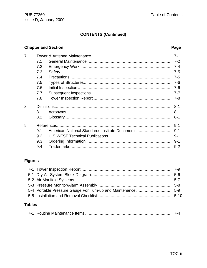# **CONTENTS (Continued)**

## **Chapter and Section**

### Page

| 7 <sub>1</sub> |     |                                                 | $7 - 1$ |
|----------------|-----|-------------------------------------------------|---------|
|                | 7.1 |                                                 | $7 - 2$ |
|                | 7.2 |                                                 | $7 - 4$ |
|                | 7.3 |                                                 | $7 - 5$ |
|                | 7.4 |                                                 | $7-5$   |
|                | 7.5 |                                                 | $7-6$   |
|                | 7.6 |                                                 | $7 - 6$ |
|                | 7.7 |                                                 | $7 - 7$ |
|                | 7.8 |                                                 | $7 - 8$ |
| 8.             |     |                                                 | $8 - 1$ |
|                | 8.1 |                                                 | $8 - 1$ |
|                | 8.2 |                                                 | $8 - 1$ |
| 9.             |     |                                                 | $9 - 1$ |
|                | 9.1 | American National Standards Institute Documents | $9 - 1$ |
|                | 9.2 |                                                 | $9 - 1$ |
|                | 9.3 |                                                 | $9 - 1$ |
|                | 9.4 |                                                 | $9 - 2$ |

### **Figures**

#### **Tables**

|--|--|--|--|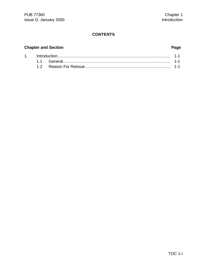#### **CONTENTS**

# **Chapter and Section Page**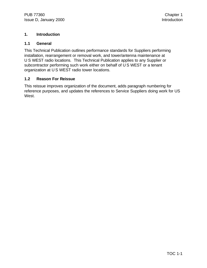#### **1. Introduction**

#### **1.1 General**

This Technical Publication outlines performance standards for Suppliers performing installation, rearrangement or removal work, and tower/antenna maintenance at U S WEST radio locations. This Technical Publication applies to any Supplier or subcontractor performing such work either on behalf of U S WEST or a tenant organization at U S WEST radio tower locations.

#### **1.2 Reason For Reissue**

This reissue improves organization of the document, adds paragraph numbering for reference purposes, and updates the references to Service Suppliers doing work for US West.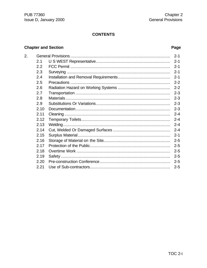#### **CONTENTS**

# **Chapter and Section**

 $2.$ 

## Page

|      | $2 - 1$ |
|------|---------|
| 2.1  | $2 - 1$ |
| 2.2  | $2 - 1$ |
| 2.3  | $2 - 1$ |
| 2.4  | $2 - 1$ |
| 2.5  | $2 - 2$ |
| 2.6  | $2 - 2$ |
| 2.7  | $2 - 3$ |
| 2.8  | $2 - 3$ |
| 2.9  | $2 - 3$ |
| 2.10 | $2 - 3$ |
| 2.11 | $2 - 4$ |
| 2.12 | $2 - 4$ |
| 2.13 | $2 - 4$ |
| 2.14 | $2 - 4$ |
| 2.15 | $2 - 1$ |
| 2.16 | $2 - 5$ |
| 2.17 | $2 - 5$ |
| 2.18 | $2 - 5$ |
| 2.19 | $2 - 5$ |
| 2.20 | $2 - 5$ |
| 2.21 | $2 - 5$ |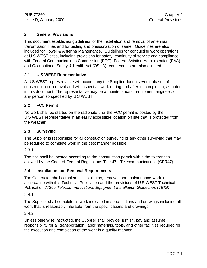#### **2. General Provisions**

This document establishes guidelines for the installation and removal of antennas, transmission lines and for testing and pressurization of same. Guidelines are also included for Tower & Antenna Maintenance. Guidelines for conducting work operations at U S WEST sites, including provisions for safety, continuity of service and compliance with Federal Communications Commission (FCC), Federal Aviation Administration (FAA) and Occupational Safety & Health Act (OSHA) requirements are also outlined.

#### **2.1 U S WEST Representative**

A U S WEST representative will accompany the Supplier during several phases of construction or removal and will inspect all work during and after its completion, as noted in this document. The representative may be a maintenance or equipment engineer, or any person so specified by U S WEST.

#### **2.2 FCC Permit**

No work shall be started on the radio site until the FCC permit is posted by the U S WEST representative in an easily accessible location on site that is protected from the weather.

#### **2.3 Surveying**

The Supplier is responsible for all construction surveying or any other surveying that may be required to complete work in the best manner possible.

2.3.1

The site shall be located according to the construction permit within the tolerances allowed by the Code of Federal Regulations Title 47 - Telecommunications (CFR47).

#### **2.4 Installation and Removal Requirements**

The Contractor shall complete all installation, removal, and maintenance work in accordance with this Technical Publication and the provisions of U S WEST Technical Publication 77350 *Telecommunications Equipment Installation Guidelines (TEIG)*.

2.4.1

The Supplier shall complete all work indicated in specifications and drawings including all work that is reasonably inferable from the specifications and drawings.

#### 2.4.2

Unless otherwise instructed, the Supplier shall provide, furnish, pay and assume responsibility for all transportation, labor materials, tools, and other facilities required for the execution and completion of the work in a quality manner.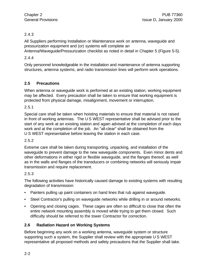#### 2.4.3

All Suppliers performing Installation or Maintenance work on antenna, waveguide and pressurization equipment and (or) systems will complete an Antenna/Waveguide/Pressurization checklist as noted in detail in Chapter 5 (Figure 5-5).

#### 2.4.4

Only personnel knowledgeable in the installation and maintenance of antenna supporting structures, antenna systems, and radio transmission lines will perform work operations.

#### **2.5 Precautions**

When antenna or waveguide work is performed at an existing station, working equipment may be affected. Every precaution shall be taken to ensure that working equipment is protected from physical damage, misalignment, movement or interruption.

2.5.1

Special care shall be taken when hoisting materials to ensure that material is not raised in front of working antennas. The U S WEST representative shall be advised prior to the start of any work at an existing station and again advised at the completion of each days work and at the completion of the job. An "all-clear" shall be obtained from the U S WEST representative before leaving the station in each case.

#### 2.5.2

Extreme care shall be taken during transporting, unpacking, and installation of the waveguide to prevent damage to the new waveguide components. Even minor dents and other deformations in either rigid or flexible waveguide, and the flanges thereof, as well as in the walls and flanges of the transducers or combining networks will seriously impair transmission and require replacement.

#### 2.5.3

The following activities have historically caused damage to existing systems with resulting degradation of transmission:

- Painters pulling up paint containers on hand lines that rub against waveguide.
- Steel Contractor's pulling on waveguide networks while drilling in or around networks.
- Opening and closing cages. These cages are often so difficult to close that often the entire network mounting assembly is moved while trying to get them closed. Such difficulty should be referred to the tower Contractor for correction.

#### **2.6 Radiation Hazard on Working Systems**

Before beginning any work on a working antenna, waveguide system or structure supporting such a system, the Supplier shall review with the appropriate U S WEST representative all proposed methods and safety precautions that the Supplier shall take.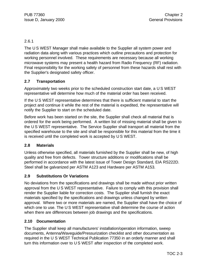#### 2.6.1

The U S WEST Manager shall make available to the Supplier all system power and radiation data along with various practices which outline precautions and protection for working personnel involved. These requirements are necessary because all working microwave systems may present a health hazard from Radio Frequency (RF) radiation. Final responsibility for the working safety of personnel from these hazards shall rest with the Supplier's designated safety officer.

#### **2.7 Transportation**

Approximately two weeks prior to the scheduled construction start date, a U S WEST representative will determine how much of the material order has been received.

If the U S WEST representative determines that there is sufficient material to start the project and continue it while the rest of the material is expedited, the representative will notify the Supplier to start on the scheduled date.

Before work has been started on the site, the Supplier shall check all material that is ordered for the work being performed. A written list of missing material shall be given to the U S WEST representative. The Service Supplier shall transport all material from the specified warehouse to the site and shall be responsible for this material from the time it is received until the completed work is accepted by U S WEST.

#### **2.8 Materials**

Unless otherwise specified, all materials furnished by the Supplier shall be new, of high quality and free from defects. Tower structure additions or modifications shall be performed in accordance with the latest issue of Tower Design Standard, EIA RS222D. Steel shall be galvanized per ASTM A123 and Hardware per ASTM A153.

#### **2.9 Substitutions Or Variations**

No deviations from the specifications and drawings shall be made without prior written approval from the U S WEST representative. Failure to comply with this provision shall render the Supplier liable for correction costs. The Supplier shall furnish the exact materials specified by the specifications and drawings unless changed by written approval. Where two or more materials are named, the Supplier shall have the choice of which one to use. The U S WEST representative shall determine the course of action when there are differences between job drawings and the specifications.

#### **2.10 Documentation**

The Supplier shall keep all manufacturers' installation/operation information, sweep documents, Antenna/Waveguide/Pressurization checklist and other documentation as required in the U S WEST Technical Publication 77350 in an orderly manner and shall turn this information over to U S WEST after inspection of the completed work.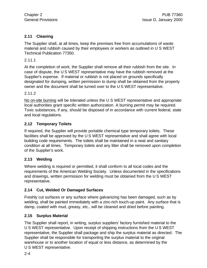#### **2.11 Cleaning**

The Supplier shall, at all times, keep the premises free from accumulations of waste material and rubbish caused by their employees or workers as outlined in U S WEST Technical Publication 77350.

2.11.1

At the completion of work, the Supplier shall remove all their rubbish from the site. In case of dispute, the U S WEST representative may have the rubbish removed at the Supplier's expense. If material or rubbish is not placed on grounds specifically designated for dumping, written permission to dump shall be obtained from the property owner and the document shall be turned over to the U S WEST representative.

#### 2.11.2

No on-site burning will be tolerated unless the U S WEST representative and appropriate local authorities grant specific written authorization. A burning permit may be required. Toxic substances, if any, should be disposed of in accordance with current federal, state and local regulations.

#### **2.12 Temporary Toilets**

If required, the Supplier will provide portable chemical type temporary toilets. These facilities shall be approved by the U S WEST representative and shall agree with local building code requirements. The toilets shall be maintained in a neat and sanitary condition at all times. Temporary toilets and any litter shall be removed upon completion of the Supplier's work.

#### **2.13 Welding**

Where welding is required or permitted, it shall conform to all local codes and the requirements of the American Welding Society. Unless documented in the specifications and drawings, written permission for welding must be obtained from the U S WEST representative.

#### **2.14 Cut, Welded Or Damaged Surfaces**

Freshly cut surfaces or any surface where galvanizing has been damaged, such as by welding, shall be painted immediately with a zinc-rich touch-up paint. Any surface that is damp, coated with mud, greasy, etc., will be cleaned and dried before painting.

#### **2.15 Surplus Material**

The Supplier shall report, in writing, surplus suppliers' factory furnished material to the U S WEST representative. Upon receipt of shipping instructions from the U S WEST representative, the Supplier shall package and ship the surplus material as directed. The Supplier shall be responsible for transporting the surplus material to the original warehouse or to another location of equal or less distance, as determined by the U S WEST representative.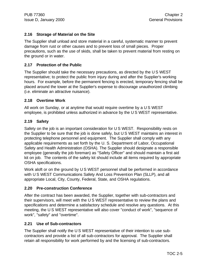#### **2.16 Storage of Material on the Site**

The Supplier shall unload and store material in a careful, systematic manner to prevent damage from rust or other causes and to prevent loss of small pieces. Proper precautions, such as the use of skids, shall be taken to prevent material from resting on the ground or in water.

#### **2.17 Protection of the Public**

The Supplier should take the necessary precautions, as directed by the U S WEST representative; to protect the public from injury during and after the Supplier's working hours. For example, before the permanent fencing is erected, temporary fencing shall be placed around the tower at the Supplier's expense to discourage unauthorized climbing (i.e. eliminate an attractive nuisance).

#### **2.18 Overtime Work**

All work on Sunday, or at anytime that would require overtime by a U S WEST employee, is prohibited unless authorized in advance by the U S WEST representative.

#### **2.19 Safety**

Safety on the job is an important consideration for U S WEST. Responsibility rests on the Supplier to be sure that the job is done safely, but U S WEST maintains an interest in protecting telephone personnel and equipment. The Supplier shall comply with any applicable requirements as set forth by the U. S. Department of Labor, Occupational Safety and Health Administration (OSHA). The Supplier should designate a responsible employee (generally the job foreman) as "Safety Officer" and should maintain a first aid kit on job. The contents of the safety kit should include all items required by appropriate OSHA specifications.

Work aloft or on the ground by U S WEST personnel shall be performed in accordance with U S WEST Communications Safety And Loss Prevention Plan (SLLP), and all appropriate Local, City, County, Federal, State, and OSHA regulations.

#### **2.20 Pre-construction Conference**

After the contract has been awarded, the Supplier, together with sub-contractors and their supervisors, will meet with the U S WEST representative to review the plans and specifications and determine a satisfactory schedule and resolve any questions. At this meeting, the U S WEST representative will also cover "conduct of work", "sequence of work", "safety" and "overtime".

#### **2.21 Use of Sub-contractors**

The Supplier shall notify the U S WEST representative of their intention to use subcontractors and provide a list of all sub-contractors for approval. The Supplier shall retain all responsibility for work performed by and the licensing of sub-contractors.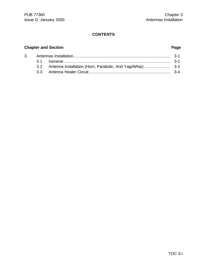### **CONTENTS**

# **Chapter and Section Page**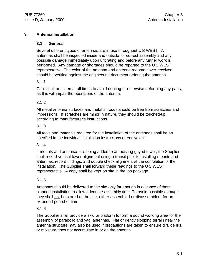#### **3. Antenna Installation**

#### **3.1 General**

Several different types of antennas are in use throughout U S WEST. All antennas shall be inspected inside and outside for correct assembly and any possible damage immediately upon uncrating and before any further work is performed. Any damage or shortages should be reported to the U S WEST representative. The color of the antenna and antenna radome cover received should be verified against the engineering document ordering the antenna.

#### 3.1.1

Care shall be taken at all times to avoid denting or otherwise deforming any parts, as this will impair the operations of the antenna.

#### 3.1.2

All metal antenna surfaces and metal shrouds should be free from scratches and impressions. If scratches are minor in nature, they should be touched-up according to manufacturer's instructions.

#### 3.1.3

All tools and materials required for the installation of the antennas shall be as specified in the individual installation instructions or equivalent.

#### 3.1.4

If mounts and antennas are being added to an existing guyed tower, the Supplier shall record vertical tower alignment using a transit prior to installing mounts and antennas, record findings, and double check alignment at the completion of the installation. The Supplier shall forward these readings to the U S WEST representative. A copy shall be kept on site in the job package.

#### 3.1.5

Antennas should be delivered to the site only far enough in advance of there planned installation to allow adequate assembly time. To avoid possible damage they shall not be stored at the site, either assembled or disassembled, for an extended period of time

#### 3.1.6

The Supplier shall provide a skid or platform to form a sound working area for the assembly of parabolic and yagi antennas. Flat or gently slopping terrain near the antenna structure may also be used if precautions are taken to ensure dirt, debris, or moisture does not accumulate in or on the antenna.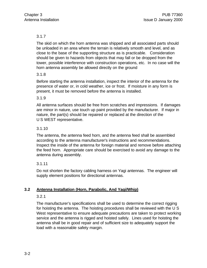#### 3.1.7

The skid on which the horn antenna was shipped and all associated parts should be unloaded in an area where the terrain is relatively smooth and level, and as close to the base of the supporting structure as is practicable. Consideration should be given to hazards from objects that may fall or be dropped from the tower, possible interference with construction operations, etc. In no case will the horn antenna assembly be allowed directly on the ground

#### 3.1.8

Before starting the antenna installation, inspect the interior of the antenna for the presence of water or, in cold weather, ice or frost. If moisture in any form is present, it must be removed before the antenna is installed.

#### 3.1.9

All antenna surfaces should be free from scratches and impressions. If damages are minor in nature, use touch up paint provided by the manufacturer. If major in nature, the part(s) should be repaired or replaced at the direction of the U S WEST representative.

#### 3.1.10

The antenna, the antenna feed horn, and the antenna feed shall be assembled according to the antenna manufacturer's instructions and recommendations. Inspect the inside of the antenna for foreign material and remove before attaching the feed horn. Appropriate care should be exercised to avoid any damage to the antenna during assembly.

#### 3.1.11

Do not shorten the factory cabling harness on Yagi antennas. The engineer will supply element positions for directional antennas.

#### **3.2 Antenna Installation (Horn, Parabolic, And Yagi/Whip)**

#### 3.2.1

The manufacturer's specifications shall be used to determine the correct rigging for hoisting the antenna. The hoisting procedures shall be reviewed with the U S West representative to ensure adequate precautions are taken to protect working service and the antenna is rigged and hoisted safely. Lines used for hoisting the antenna shall be in good repair and of sufficient size to adequately support the load with a reasonable safety margin.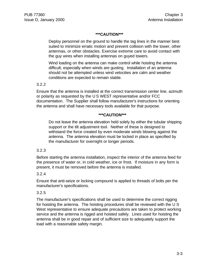#### **\*\*\*CAUTION\*\*\***

Deploy personnel on the ground to handle the tag lines in the manner best suited to minimize erratic motion and prevent collision with the tower, other antennas, or other obstacles. Exercise extreme care to avoid contact with the guy wires when installing antennas on guyed towers.

Wind loading on the antenna can make control while hoisting the antenna difficult, especially when winds are gusting. Installation of an antenna should not be attempted unless wind velocities are calm and weather conditions are expected to remain stable.

#### 3.2.2

Ensure that the antenna is installed at the correct transmission center line, azimuth or polarity as requested by the U S WEST representative and/or FCC documentation. The Supplier shall follow manufacturer's instructions for orienting the antenna and shall have necessary tools available for that purpose.

#### **\*\*\*CAUTION\*\*\***

Do not leave the antenna elevation held solely by either the tubular shipping support or the tilt adjustment tool. Neither of these is designed to withstand the force created by even moderate winds blowing against the antenna. The antenna elevation must be locked in place as specified by the manufacturer for overnight or longer periods.

#### 3.2.3

Before starting the antenna installation, inspect the interior of the antenna feed for the presence of water or, in cold weather, ice or frost. If moisture in any form is present, it must be removed before the antenna is installed.

#### 3.2.4

Ensure that anti-seize or locking compound is applied to threads of bolts per the manufacturer's specifications.

#### 3.2.5

The manufacturer's specifications shall be used to determine the correct rigging for hoisting the antenna. The hoisting procedures shall be reviewed with the U S West representative to ensure adequate precautions are taken to protect working service and the antenna is rigged and hoisted safely. Lines used for hoisting the antenna shall be in good repair and of sufficient size to adequately support the load with a reasonable safety margin.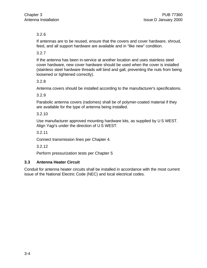#### 3.2.6

If antennas are to be reused, ensure that the covers and cover hardware, shroud, feed, and all support hardware are available and in "like new" condition.

3.2.7

If the antenna has been in-service at another location and uses stainless steel cover hardware, new cover hardware should be used when the cover is installed (stainless steel hardware threads will bind and gall, preventing the nuts from being loosened or tightened correctly).

3.2.8

Antenna covers should be installed according to the manufacturer's specifications.

3.2.9

Parabolic antenna covers (radomes) shall be of polymer-coated material if they are available for the type of antenna being installed.

3.2.10

Use manufacturer approved mounting hardware kits, as supplied by U S WEST. Align Yagi's under the direction of U S WEST.

3.2.11

Connect transmission lines per Chapter 4.

3.2.12

Perform pressurization tests per Chapter 5

#### **3.3 Antenna Heater Circuit**

Conduit for antenna heater circuits shall be installed in accordance with the most current issue of the National Electric Code (NEC) and local electrical codes.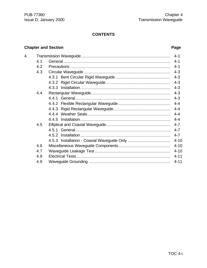### **CONTENTS**

# **Chapter and Section**

## Page

| 4. |     | $4 - 1$  |
|----|-----|----------|
|    | 4.1 | $4 - 1$  |
|    | 4.2 | $4 - 1$  |
|    | 4.3 | $4 - 3$  |
|    |     | $4 - 3$  |
|    |     | $4 - 3$  |
|    |     | $4 - 3$  |
|    | 4.4 | $4 - 3$  |
|    |     | $4 - 3$  |
|    |     | $4 - 4$  |
|    |     | $4 - 4$  |
|    |     | $4 - 4$  |
|    |     | $4 - 4$  |
|    | 4.5 | $4 - 7$  |
|    |     | $4 - 7$  |
|    |     | $4 - 7$  |
|    |     | $4 - 10$ |
|    | 4.6 | $4 - 10$ |
|    | 4.7 | $4 - 10$ |
|    | 4.8 | $4 - 11$ |
|    | 4.9 | $4 - 11$ |
|    |     |          |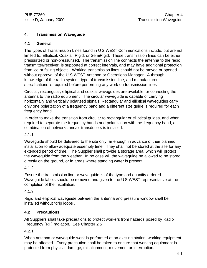#### **4. Transmission Waveguide**

#### **4.1 General**

The types of Transmission Lines found in U S WEST Communications include, but are not limited to; Elliptical, Coaxial, Rigid, or SemiRigid. These transmission lines can be either pressurized or non-pressurized. The transmission line connects the antenna to the radio transmitter/receiver, is supported at correct intervals, and may have additional protection from ice or falling objects. Working transmission lines should not be moved or opened without approval of the U S WEST Antenna or Operations Manager. A through knowledge of the radio system, type of transmission line, and manufacturer specifications is required before performing any work on transmission lines.

Circular, rectangular, elliptical and coaxial waveguides are available for connecting the antenna to the radio equipment. The circular waveguide is capable of carrying horizontally and vertically polarized signals. Rectangular and elliptical waveguides carry only one polarization of a frequency band and a different size guide is required for each frequency band.

In order to make the transition from circular to rectangular or elliptical guides, and when required to separate the frequency bands and polarization with the frequency band, a combination of networks and/or transducers is installed.

4.1.1

Waveguide should be delivered to the site only far enough in advance of their planned installation to allow adequate assembly time. They shall not be stored at the site for any extended period of time. The Supplier shall provide a storage area, which will protect the waveguide from the weather. In no case will the waveguide be allowed to be stored directly on the ground, or in areas where standing water is present.

#### 4.1.2

Ensure the transmission line or waveguide is of the type and quantity ordered. Waveguide labels should be removed and given to the U S WEST representative at the completion of the installation.

#### 4.1.3

Rigid and elliptical waveguide between the antenna and pressure window shall be installed without "drip loops".

#### **4.2 Precautions**

All Suppliers shall take precautions to protect workers from hazards posed by Radio Frequency (RF) radiation. See Chapter 2.5

4.2.1

When antenna or waveguide work is performed at an existing station, working equipment may be affected. Every precaution shall be taken to ensure that working equipment is protected from physical damage, misalignment, movement or interruption.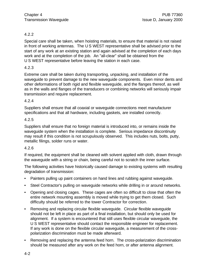#### 4.2.2

Special care shall be taken, when hoisting materials, to ensure that material is not raised in front of working antennas. The U S WEST representative shall be advised prior to the start of any work at an existing station and again advised at the completion of each days work and at the completion of the job. An "all-clear" shall be obtained from the U S WEST representative before leaving the station in each case.

#### 4.2.3

Extreme care shall be taken during transporting, unpacking, and installation of the waveguide to prevent damage to the new waveguide components. Even minor dents and other deformations of both rigid and flexible waveguide, and the flanges thereof, as well as in the walls and flanges of the transducers or combining networks will seriously impair transmission and require replacement.

#### 4.2.4

Suppliers shall ensure that all coaxial or waveguide connections meet manufacturer specifications and that all hardware, including gaskets, are installed correctly.

#### 4.2.5

Suppliers shall ensure that no foreign material is introduced into, or remains inside the waveguide system when the installation is complete. Serious impedance discontinuity may result if this condition is not scrupulously observed. This includes nuts, bolts, putty, metallic filings, solder runs or water.

#### 4.2.6

If required, the equipment shall be cleaned with solvent applied with cloth, drawn through the waveguide with a string or chain, being careful not to scratch the inner surface.

The following activities have historically caused damage to existing systems with resulting degradation of transmission:

- Painters pulling up paint containers on hand lines and rubbing against waveguide.
- Steel Contractor's pulling on waveguide networks while drilling in or around networks.
- Opening and closing cages. These cages are often so difficult to close that often the entire network mounting assembly is moved while trying to get them closed. Such difficulty should be referred to the tower Contractor for correction.
- Removing and replacing circular flexible waveguide. Circular flexible waveguide should not be left in place as part of a final installation, but should only be used for alignment. If a system is encountered that still uses flexible circular waveguide, the U S WEST representative should contact the responsible engineer for replacement. If any work is done on the flexible circular waveguide, a measurement of the crosspolarization discrimination must be made afterward.
- Removing and replacing the antenna feed horn. The cross-polarization discrimination should be measured after any work on the feed horn, or after antenna alignment.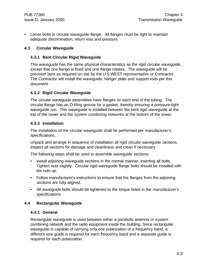• Loose bolts in circular waveguide flange. All flanges must be tight to maintain adequate discrimination, return loss and pressure.

#### **4.3 Circular Waveguide**

#### **4.3.1 Bent Circular Rigid Waveguide**

This waveguide has the same physical characteristics as the rigid circular waveguide, except that one flange is fixed and one flange rotates. The waveguide will be precision bent as required on site by the U S WEST representative or Contractor. The Contractor will install the waveguide, hanger plate and support rods per this document.

#### **4.3.2 Rigid Circular Waveguide**

The circular waveguide assemblies have flanges on each end of the tubing. The circular flange has an O-Ring groove for a gasket, thereby ensuring a pressure-tight waveguide run. This waveguide is installed between the bent rigid waveguide at the top of the tower and the system combining networks at the bottom of the tower.

#### **4.3.3 Installation**

The installation of the circular waveguide shall be performed per manufacturer's specifications.

Unpack and arrange in sequence of installation all rigid circular waveguide sections. Inspect all sections for damage and cleanliness and clean if necessary.

The following steps shall be used to assemble waveguide sections:

- Install adjoining waveguide sections in the normal manner, inserting all bolts. Tighten nuts slightly. Circular rigid waveguide flange bolts should be installed with the nuts up.
- Follow manufacturer's instructions to ensure that the flanges from the adjoining sections are fully aligned.
- All waveguide bolts should be tightened to the torque listed in the manufacturer's specifications.

#### **4.4 Rectangular Waveguide**

#### **4.4.1 General**

Rectangular waveguide is used between either a parabolic antenna or system combining network and the radio equipment inside the building. Since rectangular waveguide is capable of carrying only one polarization of a frequency band, a different size guide is required for each frequency band and a separate guide is required for each polarization.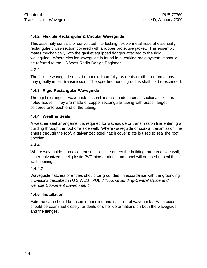#### **4.4.2 Flexible Rectangular & Circular Waveguide**

This assembly consists of convoluted interlocking flexible metal hose of essentially rectangular cross-section covered with a rubber protective jacket. This assembly mates mechanically with the gasket equipped flanges attached to the rigid waveguide. Where circular waveguide is found in a working radio system, it should be referred to the US West Radio Design Engineer.

4.2.2.1

The flexible waveguide must be handled carefully, as dents or other deformations may greatly impair transmission. The specified bending radius shall not be exceeded.

#### **4.4.3 Rigid Rectangular Waveguide**

The rigid rectangular waveguide assemblies are made in cross-sectional sizes as noted above. They are made of copper rectangular tubing with brass flanges soldered onto each end of the tubing.

#### **4.4.4 Weather Seals**

A weather seal arrangement is required for waveguide or transmission line entering a building through the roof or a side wall. Where waveguide or coaxial transmission line enters through the roof, a galvanized steel hatch cover plate is used to seal the roof opening.

4.4.4.1

Where waveguide or coaxial transmission line enters the building through a side wall, either galvanized steel, plastic PVC pipe or aluminum panel will be used to seal the wall opening.

4.4.4.2

Waveguide hatches or entries should be grounded in accordance with the grounding provisions described in U S WEST PUB 77355, *Grounding-Central Office and Remote Equipment Environment.*

#### **4.4.5 Installation**

Extreme care should be taken in handling and installing of waveguide. Each piece should be examined closely for dents or other deformations on both the waveguide and the flanges.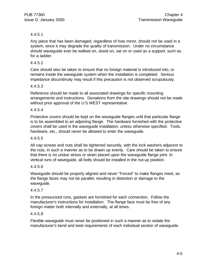#### 4.4.5.1

Any piece that has been damaged, regardless of how minor, should not be used in a system, since it may degrade the quality of transmission. Under no circumstance should waveguide ever be walked on, stood on, sat on or used as a support, such as for a ladder.

#### 4.4.5.2

Care should also be taken to ensure that no foreign material is introduced into, or remains inside the waveguide system when the installation is completed. Serious impedance discontinuity may result if this precaution is not observed scrupulously.

#### 4.4.5.3

Reference should be made to all associated drawings for specific mounting arrangements and instructions. Deviations from the site drawings should not be made without prior approval of the U S WEST representative.

#### 4.4.5.4

Protective covers should be kept on the waveguide flanges until that particular flange is to be assembled to an adjoining flange. The hardware furnished with the protective covers shall be used in the waveguide installation, unless otherwise specified. Tools, hardware, etc., should never be allowed to enter the waveguide.

#### 4.4.5.5

All cap screws and nuts shall be tightened securely, with the lock washers adjacent to the nuts, in such a manner as to be drawn up evenly. Care should be taken to ensure that there is no undue stress or strain placed upon the waveguide flange joint. In vertical runs of waveguide, all bolts should be installed in the nut-up position.

#### 4.4.5.6

Waveguide should be properly aligned and never "Forced" to make flanges meet, as the flange faces may not be parallel, resulting in distortion or damage to the waveguide.

#### 4.4.5.7

In the pressurized runs, gaskets are furnished for each connection. Follow the manufacturer's instructions for installation. The flange face must be free of any foreign matter both internally and externally, at all times.

#### 4.4.5.8

Flexible waveguide must never be positioned in such a manner as to violate the manufacturer's bend and twist requirements of each individual section of waveguide.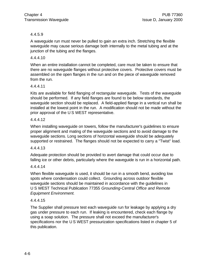#### 4.4.5.9

A waveguide run must never be pulled to gain an extra inch. Stretching the flexible waveguide may cause serious damage both internally to the metal tubing and at the junction of the tubing and the flanges.

#### 4.4.4.10

When an entire installation cannot be completed, care must be taken to ensure that there are no waveguide flanges without protective covers. Protective covers must be assembled on the open flanges in the run and on the piece of waveguide removed from the run.

#### 4.4.4.11

Kits are available for field flanging of rectangular waveguide. Tests of the waveguide should be performed. If any field flanges are found to be below standards, the waveguide section should be replaced. A field-applied flange in a vertical run shall be installed at the lowest point in the run. A modification should not be made without the prior approval of the U S WEST representative.

#### 4.4.4.12

When installing waveguide on towers, follow the manufacturer's guidelines to ensure proper alignment and mating of the waveguide sections and to avoid damage to the waveguide sections. Long sections of horizontal waveguide should be adequately supported or restrained. The flanges should not be expected to carry a "Twist" load.

#### 4.4.4.13

Adequate protection should be provided to avert damage that could occur due to falling ice or other debris, particularly where the waveguide is run in a horizontal path.

#### 4.4.4.14

When flexible waveguide is used, it should be run in a smooth bend, avoiding low spots where condensation could collect. Grounding across outdoor flexible waveguide sections should be maintained in accordance with the guidelines in U S WEST Technical Publication 77355 *Grounding-Central Office and Remote Equipment Environment.*

#### 4.4.4.15

The Supplier shall pressure test each waveguide run for leakage by applying a dry gas under pressure to each run. If leaking is encountered, check each flange by using a soap solution. The pressure shall not exceed the manufacturer's specifications nor the U S WEST pressurization specifications listed in chapter 5 of this publication.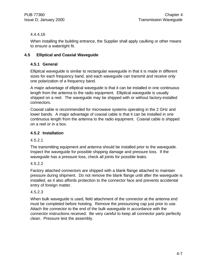#### 4.4.4.16

When installing the building entrance, the Supplier shall apply caulking or other means to ensure a watertight fit.

#### **4.5 Elliptical and Coaxial Waveguide**

#### **4.5.1 General**

Elliptical waveguide is similar to rectangular waveguide in that it is made in different sizes for each frequency band, and each waveguide can transmit and receive only one polarization of a frequency band.

A major advantage of elliptical waveguide is that it can be installed in one continuous length from the antenna to the radio equipment. Elliptical waveguide is usually shipped on a reel. The waveguide may be shipped with or without factory-installed connectors.

Coaxial cable is recommended for microwave systems operating in the 2 GHz and lower bands. A major advantage of coaxial cable is that it can be installed in one continuous length from the antenna to the radio equipment. Coaxial cable is shipped on a reel or in a box.

#### **4.5.2 Installation**

#### 4.5.2.1

The transmitting equipment and antenna should be installed prior to the waveguide. Inspect the waveguide for possible shipping damage and pressure loss. If the waveguide has a pressure loss, check all joints for possible leaks.

#### 4.5.2.2

Factory attached connectors are shipped with a blank flange attached to maintain pressure during shipment. Do not remove the blank flange until after the waveguide is installed, as it also affords protection to the connector face and prevents accidental entry of foreign matter.

#### 4.5.2.3

When bulk waveguide is used, field attachment of the connector at the antenna end must be completed before hoisting. Remove the pressurizing cap just prior to use. Attach the connector to the end of the bulk waveguide in accordance with the connector instructions received. Be very careful to keep all connector parts perfectly clean. Pressure test the assembly.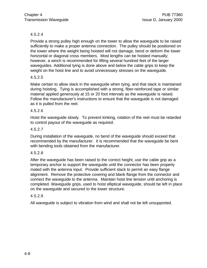#### 4.5.2.4

Provide a strong pulley high enough on the tower to allow the waveguide to be raised sufficiently to make a proper antenna connection. The pulley should be positioned on the tower where the weight being hoisted will not damage, bend or deform the tower horizontal or diagonal cross members. Most lengths can be hoisted manually; however, a winch is recommended for lifting several hundred feet of the larger waveguides. Additional tying is done above and below the cable grips to keep the weight on the hoist line and to avoid unnecessary stresses on the waveguide.

#### 4.5.2.5

Make certain to allow slack in the waveguide when tying, and that slack is maintained during hoisting. Tying is accomplished with a strong, fiber-reinforced tape or similar material applied generously at 15 or 20 foot intervals as the waveguide is raised. Follow the manufacturer's instructions to ensure that the waveguide is not damaged as it is pulled from the reel.

#### 4.5.2.6

Hoist the waveguide slowly. To prevent kinking, rotation of the reel must be retarded to control payout of the waveguide as required.

#### 4.5.2.7

During installation of the waveguide, no bend of the waveguide should exceed that recommended by the manufacturer. It is recommended that the waveguide be bent with bending tools obtained from the manufacturer.

#### 4.5.2.8

After the waveguide has been raised to the correct height, use the cable grip as a temporary anchor to support the waveguide until the connector has been properly mated with the antenna input. Provide sufficient slack to permit an easy flange alignment. Remove the protective covering and blank flange from the connector and connect the waveguide to the antenna. Maintain hoist line tension until anchoring is completed. Waveguide grips, used to hoist elliptical waveguide, should be left in place on the waveguide and secured to the tower structure.

#### 4.5.2.9

All waveguide is subject to vibration from wind and shall not be left unsupported.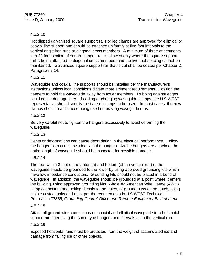#### 4.5.2.10

Hot dipped galvanized square support rails or leg clamps are approved for elliptical or coaxial line support and should be attached uniformly at five-foot intervals to the vertical angle iron runs or diagonal cross members. A minimum of three attachments in a 20 foot section of square support rail is allowed only where the square support rail is being attached to diagonal cross members and the five foot spacing cannot be maintained. Galvanized square support rail that is cut shall be coated per Chapter 2, Paragraph 2.14.

#### 4.5.2.11

Waveguide and coaxial line supports should be installed per the manufacturer's instructions unless local conditions dictate more stringent requirements. Position the hangers to hold the waveguide away from tower members. Rubbing against edges could cause damage later. If adding or changing waveguide clamps, the U S WEST representative should specify the type of clamps to be used. In most cases, the new clamps should match those being used on existing waveguide runs.

#### 4.5.2.12

Be very careful not to tighten the hangers excessively to avoid deforming the waveguide.

#### 4.5.2.13

Dents or deformations can cause degradation in the electrical performance. Follow the hanger instructions included with the hangers. As the hangers are attached, the entire length of waveguide should be inspected for possible damage.

#### 4.5.2.14

The top (within 3 feet of the antenna) and bottom (of the vertical run) of the waveguide should be grounded to the tower by using approved grounding kits which have low impedance conductors. Grounding kits should not be placed in a bend of waveguide. In addition, the waveguide should be grounded at a point where it enters the building, using approved grounding kits, 2-hole #2 American Wire Gauge (AWG) crimp connectors and bolting directly to the hatch, or ground buss at the hatch, using stainless steel bolts and nuts, per the requirements in U S WEST Technical Publication 77355, *Grounding-Central Office and Remote Equipment Environment.*

#### 4.5.2.15

Attach all ground wire connections on coaxial and elliptical waveguide to a horizontal support member using the same type hangers and intervals as in the vertical run.

#### 4.5.2.16

Exposed horizontal runs must be protected from the weight of accumulated ice and damage from falling ice or other objects.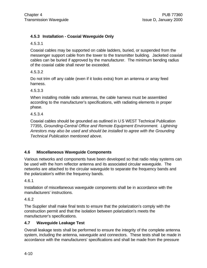#### **4.5.3 Installation - Coaxial Waveguide Only**

4.5.3.1

Coaxial cables may be supported on cable ladders, buried, or suspended from the messenger support cable from the tower to the transmitter building. Jacketed coaxial cables can be buried if approved by the manufacturer. The minimum bending radius of the coaxial cable shall never be exceeded.

4.5.3.2

Do not trim off any cable (even if it looks extra) from an antenna or array feed harness.

4.5.3.3

When installing mobile radio antennas, the cable harness must be assembled according to the manufacturer's specifications, with radiating elements in proper phase.

4.5.3.4

Coaxial cables should be grounded as outlined in U S WEST Technical Publication 77355, *Grounding-Central Office and Remote Equipment Environment. Lightning Arrestors may also be used and should be installed to agree with the Grounding Technical Publication mentioned above.*

#### **4.6 Miscellaneous Waveguide Components**

Various networks and components have been developed so that radio relay systems can be used with the horn reflector antenna and its associated circular waveguide. The networks are attached to the circular waveguide to separate the frequency bands and the polarization's within the frequency bands.

4.6.1

Installation of miscellaneous waveguide components shall be in accordance with the manufacturers' instructions.

4.6.2

The Supplier shall make final tests to ensure that the polarization's comply with the construction permit and that the isolation between polarization's meets the manufacturer's specifications.

#### **4.7 Waveguide Leakage Test**

Overall leakage tests shall be performed to ensure the integrity of the complete antenna system, including the antenna, waveguide and connectors. These tests shall be made in accordance with the manufacturers' specifications and shall be made from the pressure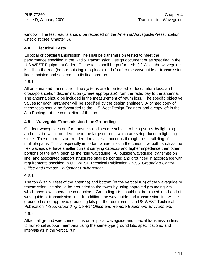window. The test results should be recorded on the Antenna/Waveguide/Pressurization Checklist (see Chapter 5).

#### **4.8 Electrical Tests**

Elliptical or coaxial transmission line shall be transmission tested to meet the performance specified in the Radio Transmission Design document or as specified in the U S WEST Equipment Order. These tests shall be performed: (1) While the waveguide is still on the reel (before hoisting into place), and (2) after the waveguide or transmission line is hoisted and secured into its final position.

4.8.1

All antenna and transmission line systems are to be tested for loss, return loss, and cross-polarization discrimination (where appropriate) from the radio bay to the antenna. The antenna should be included in the measurement of return loss. The specific objective values for each parameter will be specified by the design engineer. A printed copy of these tests should be forwarded to the U S West Design Engineer and a copy left in the Job Package at the completion of the job.

#### **4.9 Waveguide/Transmission Line Grounding**

Outdoor waveguides and/or transmission lines are subject to being struck by lightning and must be well grounded due to the large currents which are setup during a lightning strike. These currents are rendered relatively innocuous through the paralleling of multiple paths. This is especially important where links in the conductive path, such as the flex waveguide, have smaller current carrying capacity and higher impedance than other portions of the path, such as the rigid waveguide. All outside waveguide, transmission line, and associated support structures shall be bonded and grounded in accordance with requirements specified in U S WEST Technical Publication 77355, *Grounding-Central Office and Remote Equipment Environment.*

#### 4.9.1

The top (within 3 feet of the antenna) and bottom (of the vertical run) of the waveguide or transmission line should be grounded to the tower by using approved grounding kits which have low impedance conductors. Grounding kits should not be placed in a bend of waveguide or transmission line. In addition, the waveguide and transmission line will be grounded using approved grounding kits per the requirements in US WEST Technical Publication 77355, *Grounding-Central Office and Remote Equipment Environment.*

#### 4.9.2

Attach all ground wire connections on elliptical waveguide and coaxial transmission lines to horizontal support members using the same type ground kits, specifications, and intervals as in the vertical run.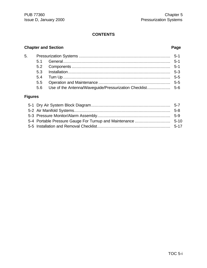### **CONTENTS**

# **Chapter and Section Page**

| 5.6 Use of the Antenna/Waveguide/Pressurization Checklist 5-6 |
|---------------------------------------------------------------|
|                                                               |

### **Figures**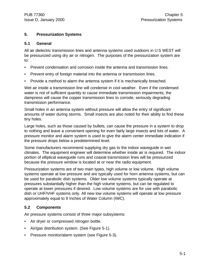#### **5. Pressurization Systems**

#### **5.1 General**

All air dielectric transmission lines and antenna systems used outdoors in U S WEST will be pressurized using dry air or nitrogen. The purposes of the pressurization system are to:

- Prevent condensation and corrosion inside the antenna and transmission lines.
- Prevent entry of foreign material into the antenna or transmission lines.
- Provide a method to alarm the antenna system if it is mechanically breached.

Wet air inside a transmission line will condense in cool weather. Even if the condensed water is not of sufficient quantity to cause immediate transmission impairments, the dampness will cause the copper transmission lines to corrode, seriously degrading transmission performance.

Small holes in an antenna system without pressure will allow the entry of significant amounts of water during storms. Small insects are also noted for their ability to find these tiny holes.

Large holes, such as those caused by bullets, can cause the pressure in a system to drop to nothing and leave a convenient opening for even fairly large insects and lots of water. A pressure monitor and alarm system is used to give the alarm center immediate indication if the pressure drops below a predetermined level.

Some manufacturers recommend supplying dry gas to the indoor waveguide in wet climates. The equipment engineer will determine whether inside air is required. The indoor portion of elliptical waveguide runs and coaxial transmission lines will be pressurized because the pressure window is located at or near the radio equipment.

Pressurization systems are of two main types, high volume or low volume. High volume systems operate at low pressure and are typically used for horn antenna systems, but can be used for parabolic dish systems. Older low volume systems typically operate at pressures substantially higher than the high volume systems, but can be regulated to operate at lower pressures if desired. Low volume systems are for use with parabolic dish or UHF/VHF systems only. All new low volume systems will operate at low pressure approximately equal to 9 Inches of Water Column (IWC).

#### **5.2 Components**

Air pressure systems consist of three major subsystems:

- Air dryer or compressed nitrogen bottle.
- Air/gas distribution system. (See Figure 5-1).
- Pressure monitor/alarm system (see Figure 5-3).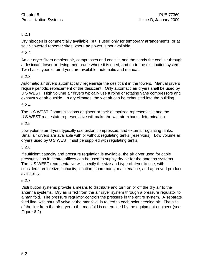#### 5.2.1

Dry nitrogen is commercially available, but is used only for temporary arrangements, or at solar-powered repeater sites where ac power is not available.

#### 5.2.2

An air dryer filters ambient air, compresses and cools it, and the sends the cool air through a desiccant tower or drying membrane where it is dried, and on to the distribution system. Two basic types of air dryers are available, automatic and manual.

#### 5.2.3

Automatic air dryers automatically regenerate the desiccant in the towers. Manual dryers require periodic replacement of the desiccant. Only automatic air dryers shall be used by U S WEST. High volume air dryers typically use turbine or rotating vane compressors and exhaust wet air outside. In dry climates, the wet air can be exhausted into the building.

#### 5.2.4

The U S WEST Communications engineer or their authorized representative and the U S WEST real estate representative will make the wet air exhaust determination.

#### 5.2.5

Low volume air dryers typically use piston compressors and external regulating tanks. Small air dryers are available with or without regulating tanks (reservoirs). Low volume air dryers used by U S WEST must be supplied with regulating tanks.

#### 5.2.6

If sufficient capacity and pressure regulation is available, the air dryer used for cable pressurization in central offices can be used to supply dry air for the antenna systems. The U S WEST representative will specify the size and type of dryer to use, with consideration for size, capacity, location, spare parts, maintenance, and approved product availability.

#### 5.2.7

Distribution systems provide a means to distribute and turn on or off the dry air to the antenna systems. Dry air is fed from the air dryer system through a pressure regulator to a manifold. The pressure regulator controls the pressure in the entire system. A separate feed line, with shut off valve at the manifold, is routed to each point needing air. The size of the line from the air dryer to the manifold is determined by the equipment engineer (see Figure 6-2).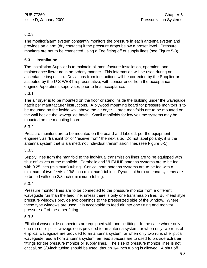#### 5.2.8

The monitor/alarm system constantly monitors the pressure in each antenna system and provides an alarm (dry contacts) if the pressure drops below a preset level. Pressure monitors are not to be connected using a Tee fitting off of supply lines (see Figure 5-3).

#### **5.3 Installation**

The Installation Supplier is to maintain all manufacturer installation, operation, and maintenance literature in an orderly manner. This information will be used during an acceptance inspection. Deviations from instructions will be corrected by the Supplier or accepted by the U S WEST representative, with concurrence from the acceptance engineer/operations supervisor, prior to final acceptance.

#### 5.3.1

The air dryer is to be mounted on the floor or stand inside the building under the waveguide hatch per manufacturer instructions. A plywood mounting board for pressure monitors is to be mounted on the inside wall above the air dryer. Large manifolds are to be mounted on the wall beside the waveguide hatch. Small manifolds for low volume systems may be mounted on the mounting board.

#### 5.3.2

Pressure monitors are to be mounted on the board and labeled, per the equipment engineer, as "transmit to" or "receive from" the next site. Do not label polarity; it is the antenna system that is alarmed, not individual transmission lines (see Figure 6-1).

#### 5.3.3

Supply lines from the manifold to the individual transmission lines are to be equipped with shut off valves at the manifold. Parabolic and VHF/UHF antenna systems are to be fed with 0.25-inch (minimum) tubing. Conical horn antenna systems are to be fed with a minimum of two feeds of 3/8-inch (minimum) tubing. Pyramidal horn antenna systems are to be fed with one 3/8-inch (minimum) tubing.

#### 5.3.4

Pressure monitor lines are to be connected to the pressure monitor from a different waveguide run than the feed line, unless there is only one transmission line. Bulkhead style pressure windows provide two openings to the pressurized side of the window. Where these type windows are used, it is acceptable to feed air into one fitting and monitor pressure off of the other fitting.

#### 5.3.5

Elliptical waveguide connectors are equipped with one air fitting. In the case where only one run of elliptical waveguide is provided to an antenna system, or when only two runs of elliptical waveguide are provided to an antenna system, or when only two runs of elliptical waveguide feed a horn antenna system, air feed spacers are to used to provide extra air fittings for the pressure monitor or supply lines. The size of pressure monitor lines is not critical, so 3/8-inch tubing should be used, though 1/4 inch tubing is allowed. A shut off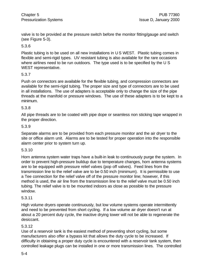valve is to be provided at the pressure switch before the monitor fitting/gauge and switch (see Figure 5-3).

#### 5.3.6

Plastic tubing is to be used on all new installations in U S WEST. Plastic tubing comes in flexible and semi-rigid types. UV resistant tubing is also available for the rare occasions where airlines need to be run outdoors. The type used is to be specified by the U S WEST representative.

#### 5.3.7

Push on connectors are available for the flexible tubing, and compression connectors are available for the semi-rigid tubing. The proper size and type of connectors are to be used in all installations. The use of adapters is acceptable only to change the size of the pipe threads at the manifold or pressure windows. The use of these adapters is to be kept to a minimum.

#### 5.3.8

All pipe threads are to be coated with pipe dope or seamless non sticking tape wrapped in the proper direction.

#### 5.3.9

Separate alarms are to be provided from each pressure monitor and the air dryer to the site or office alarm unit. Alarms are to be tested for proper operation into the responsible alarm center prior to system turn up.

#### 5.3.10

Horn antenna system water traps have a built-in leak to continuously purge the system. In order to prevent high-pressure buildup due to temperature changes, horn antenna systems are to be equipped with pressure relief valves (pop off valves). Feed lines from the transmission line to the relief valve are to be 0.50 inch (minimum). It is permissible to use a Tee connection for the relief valve off of the pressure monitor line; however, if this method is used, the air line from the transmission line to the relief valve must be 0.50 inch tubing. The relief valve is to be mounted indoors as close as possible to the pressure window.

#### 5.3.11

High volume dryers operate continuously, but low volume systems operate intermittently and need to be prevented from short cycling. If a low volume air dryer doesn't run at about a 20 percent duty cycle, the inactive drying tower will not be able to regenerate the desiccant.

#### 5.3.12

Use of a reservoir tank is the easiest method of preventing short cycling, but some manufacturers also offer a bypass kit that allows the duty cycle to be increased. If difficulty in obtaining a proper duty cycle is encountered with a reservoir tank system, then controlled leakage plugs can be installed in one or more transmission lines. The controlled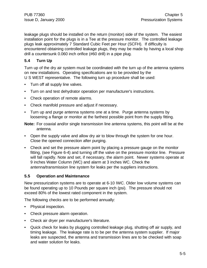leakage plugs should be installed on the return (monitor) side of the system. The easiest installation point for the plugs is in a Tee at the pressure monitor. The controlled leakage plugs leak approximately 7 Standard Cubic Feet per Hour (SCFH). If difficulty is encountered obtaining controlled leakage plugs, they may be made by having a local shop drill a countersunk 0.060 inch orifice (#60 drill) in a pipe plug.

#### **5.4 Turn Up**

Turn up of the dry air system must be coordinated with the turn up of the antenna systems on new installations. Operating specifications are to be provided by the U S WEST representative. The following turn up procedure shall be used:

- Turn off all supply line valves.
- Turn on and test dehydrator operation per manufacturer's instructions.
- Check operation of remote alarms.
- Check manifold pressure and adjust if necessary.
- Turn up and purge antenna systems one at a time. Purge antenna systems by loosening a flange or monitor at the farthest possible point from the supply fitting.

**Note:** For coaxial and/or single transmission line antenna systems, this point will be at the antenna.

- Open the supply valve and allow dry air to blow through the system for one hour. Close the opened connection after purging.
- Check and set the pressure alarm point by placing a pressure gauge on the monitor fitting, (see Figure 6-4) and turning off the valve on the pressure monitor line. Pressure will fall rapidly. Note and set, if necessary, the alarm point. Newer systems operate at 9 inches Water Column (WC) and alarm at 3 inches WC. Check the antenna/transmission line system for leaks per the suppliers instructions.

#### **5.5 Operation and Maintenance**

New pressurization systems are to operate at 6-10 IWC. Older low volume systems can be found operating up to 10 Pounds per square inch (psi). The pressure should not exceed 80% of the lowest rated component in the system.

The following checks are to be performed annually:

- Physical inspection.
- Check pressure alarm operation.
- Check air dryer per manufacturer's literature.
- Quick check for leaks by plugging controlled leakage plug, shutting off air supply, and timing leakage. The leakage rate is to be per the antenna system supplier. If major leaks are suspected, the antenna and transmission lines are to be checked with soap and water solution for leaks.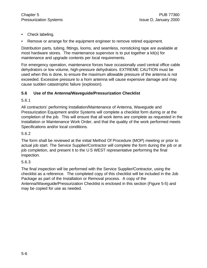- Check labeling.
- Remove or arrange for the equipment engineer to remove retired equipment.

Distribution parts, tubing, fittings, looms, and seamless, nonsticking tape are available at most hardware stores. The maintenance supervisor is to put together a kit(s) for maintenance and upgrade contents per local requirements.

For emergency operation, maintenance forces have occasionally used central office cable dehydrators or low volume, high-pressure dehydrators. EXTREME CAUTION must be used when this is done, to ensure the maximum allowable pressure of the antenna is not exceeded. Excessive pressure to a horn antenna will cause expensive damage and may cause sudden catastrophic failure (explosion).

#### **5.6 Use of the Antenna/Waveguide/Pressurization Checklist**

5.6.1

All contractors' performing Installation/Maintenance of Antenna, Waveguide and Pressurization Equipment and/or Systems will complete a checklist form during or at the completion of the job. This will ensure that all work items are complete as requested in the Installation or Maintenance Work Order, and that the quality of the work performed meets Specifications and/or local conditions.

#### 5.6.2

The form shall be reviewed at the initial Method Of Procedure (MOP) meeting or prior to actual job start. The Service Supplier/Contractor will complete the form during the job or at job completion, and present it to the U S WEST representative performing the final inspection.

#### 5.6.3

The final inspection will be performed with the Service Supplier/Contractor, using the checklist as a reference. The completed copy of this checklist will be included in the Job Package as part of the Installation or Removal process. A copy of the Antenna/Waveguide/Pressurization Checklist is enclosed in this section (Figure 5-5) and may be copied for use as needed.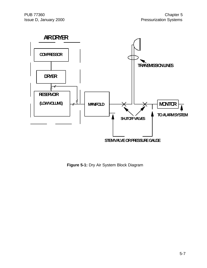

**Figure 5-1:** Dry Air System Block Diagram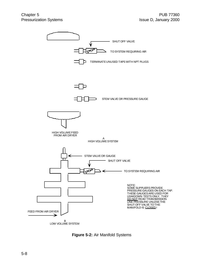

**Figure 5-2:** Air Manifold Systems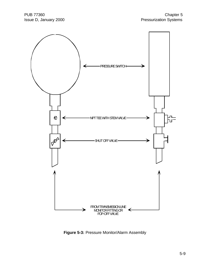

**Figure 5-3:** Pressure Monitor/Alarm Assembly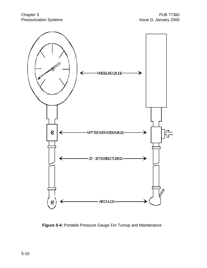

**Figure 5-4:** Portable Pressure Gauge For Turnup and Maintenance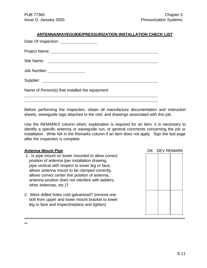| <b>ANTENNA/WAVEGUIDE/PRESSURIZATION INSTALLATION CHECK LIST</b> |  |
|-----------------------------------------------------------------|--|
| Date Of Inspection: __________________                          |  |
|                                                                 |  |
|                                                                 |  |
| Job Number: __________________                                  |  |
|                                                                 |  |
| Name of Person(s) that installed the equipment:                 |  |

Before performing the inspection, obtain all manufacture documentation and instruction sheets, waveguide tags attached to the reel, and drawings associated with this job.

Use the REMARKS column when; explanation is required for an item, it is necessary to identify a specific antenna or waveguide run, or general comments concerning the job or installation. Write NA in the Remarks column if an item does not apply. Sign the last page after the inspection is complete.

 $\overline{a}$  $\overline{a}$ 

\*\*

- 1. Is pipe mount on tower mounted to allow correct position of antenna (per installation drawing, pipe vertical with respect to tower leg or face, allows antenna mount to be clamped correctly, allows correct center line position of antenna, antenna position does not interfere with ladders, other antennas, etc.)?
- 2. Were drilled holes cold galvanized? (remove one bolt from upper and lower mount bracket to tower leg or face and inspect/replace and tighten)

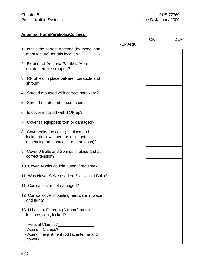# **Antenna (Horn/Parabolic/Collinear)**

|                                                                                                                              | <b>REMARK</b> | OK |  | <b>DEV</b> |
|------------------------------------------------------------------------------------------------------------------------------|---------------|----|--|------------|
| 1. Is this the correct Antenna (by model and<br>manufacture) for this location? (                                            |               |    |  |            |
| 2. Exterior of Antenna Parabola/Horn<br>not dented or scrapped?                                                              |               |    |  |            |
| 3. RF Shield in place between parabola and<br>shroud?                                                                        |               |    |  |            |
| 4. Shroud mounted with correct hardware?                                                                                     |               |    |  |            |
| 5. Shroud not dented or scratched?                                                                                           |               |    |  |            |
| 6. Is cover installed with TOP up?                                                                                           |               |    |  |            |
| 7. Cover (if equipped) torn or damaged?                                                                                      |               |    |  |            |
| 8. Cover bolts (on cover) in place and<br>locked (lock washers or lock tight<br>depending on manufacture of antenna)?        |               |    |  |            |
| 9. Cover J-Bolts and Springs in place and at<br>correct tension?                                                             |               |    |  |            |
| 10. Cover J-Bolts double nuted if required?                                                                                  |               |    |  |            |
| 11. Was Never Seize used on Stainless J-Bolts?                                                                               |               |    |  |            |
| 11. Conical cover not damaged?                                                                                               |               |    |  |            |
| 12. Conical cover mounting hardware in place<br>and tight?                                                                   |               |    |  |            |
| 13. U bolts at Figure 4 (A frame) mount<br>in place, tight, locked?                                                          |               |    |  |            |
| - Vertical Clamps?________________<br>- Azimuth Clamps?___________<br>- Azimuth adjustment rod (at antenna and<br>$tower)$ ? |               |    |  |            |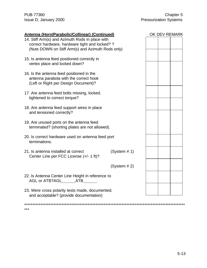\*\*\*

| <b>Antenna (Horn/Parabolic/Collinear) (Continued)</b>                                                                                                  |              |  | OK DEV REMARK |
|--------------------------------------------------------------------------------------------------------------------------------------------------------|--------------|--|---------------|
| 14. Stiff Arm(s) and Azimuth Rods in place with<br>correct hardware, hardware tight and locked? ?<br>(Nuts DOWN on Stiff Arm(s) and Azimuth Rods only) |              |  |               |
| 15. Is antenna feed positioned correctly in<br>vertex place and locked down?                                                                           |              |  |               |
| 16. Is the antenna feed positioned in the<br>antenna parabola with the correct hook<br>(Left or Right per Design Document)?                            |              |  |               |
| 17. Are antenna feed bolts missing, locked,<br>tightened to correct torque?                                                                            |              |  |               |
| 18. Are antenna feed support wires in place<br>and tensioned correctly?                                                                                |              |  |               |
| 19. Are unused ports on the antenna feed<br>terminated? (shorting plates are not allowed).                                                             |              |  |               |
| 20. Is correct hardware used on antenna feed port<br>terminations.                                                                                     |              |  |               |
| 21. Is antenna installed at correct<br>Center Line per FCC License (+/- 1 ft)?                                                                         | (System # 1) |  |               |
|                                                                                                                                                        | (System # 2) |  |               |
| 22. Is Antenna Center Line Height in reference to<br>AGL or ATB?AGL_______ATB_______                                                                   |              |  |               |
| 23. Were cross polarity tests made, documented,<br>and acceptable? (provide documentation)                                                             |              |  |               |
|                                                                                                                                                        |              |  |               |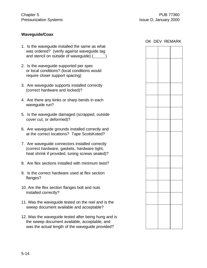#### **Waveguide/Coax**

- 1. Is the waveguide installed the same as what was ordered? (verify against waveguide tag and stencil on outside of wavequide)  $($
- 2. Is the waveguide supported per spec or local conditions? (local conditions would require closer support spacing)
- 3. Are waveguide supports installed correctly (correct hardware and locked)?
- 4. Are there any kinks or sharp bends in each waveguide run?
- 5. Is the waveguide damaged (scrapped, outside cover cut, or deformed)?
- 6. Are waveguide grounds installed correctly and at the correct locations? Tape ScotsKoted?
- 7. Are waveguide connectors installed correctly (correct hardware, gaskets, hardware tight, heat shrink if provided, tuning screws sealed)?
- 8. Are flex sections installed with minimum twist?
- 9. Is the correct hardware used at flex section flanges?
- 10. Are the flex section flanges bolt and nuts installed correctly?
- 11. Was the waveguide tested on the reel and is the sweep document available and acceptable?
- 12. Was the waveguide tested after being hung and is the sweep document available, acceptable, and was the actual length of the waveguide provided?

|  |  | OK DEV REMARK |
|--|--|---------------|
|  |  |               |
|  |  |               |
|  |  |               |
|  |  |               |
|  |  |               |
|  |  |               |
|  |  |               |
|  |  |               |
|  |  |               |
|  |  |               |
|  |  |               |
|  |  |               |
|  |  |               |
|  |  |               |
|  |  |               |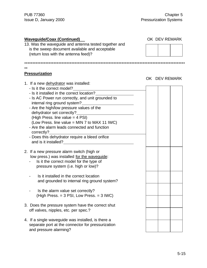| <b>Waveguide/Coax (Continued)</b><br>13. Was the waveguide and antenna tested together and<br>is the sweep document available and acceptable<br>(return loss with the antenna feed)?                                                                                                                                                                                                                                                                                                                          | OK DEV REMARK |  |
|---------------------------------------------------------------------------------------------------------------------------------------------------------------------------------------------------------------------------------------------------------------------------------------------------------------------------------------------------------------------------------------------------------------------------------------------------------------------------------------------------------------|---------------|--|
|                                                                                                                                                                                                                                                                                                                                                                                                                                                                                                               |               |  |
| $**$<br><b>Pressurization</b>                                                                                                                                                                                                                                                                                                                                                                                                                                                                                 |               |  |
| 1. If a new dehydrator was installed:<br>- Is it the correct model?<br>- Is it installed in the correct location?<br>- Is AC Power run correctly, and unit grounded to<br>internal ring ground system?<br>- Are the high/low pressure values of the<br>dehydrator set correctly?<br>(High Press. line value = 4 PSI)<br>(Low Press. line value = MIN 7 to MAX 11 IWC)<br>- Are the alarm leads connected and function<br>correctly?<br>- Does this dehydrator require a bleed orifice<br>and is it installed? | OK DEV REMARK |  |
| 2. If a new pressure alarm switch (high or<br>low press.) was installed for the waveguide:<br>Is it the correct model for the type of<br>pressure system (i.e. high or low)?<br>Is it installed in the correct location<br>and grounded to internal ring ground system?<br>Is the alarm value set correctly?<br>(High Press. = 3 PSI, Low Press. = 3 IWC)                                                                                                                                                     |               |  |
| 3. Does the pressure system have the correct shut<br>off valves, nipples, etc. per spec.?                                                                                                                                                                                                                                                                                                                                                                                                                     |               |  |

4. If a single waveguide was installed, is there a separate port at the connector for pressurization and pressure alarming?

#### 5-15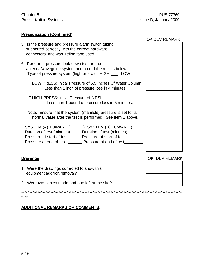#### **Pressurization (Continued)**

|                                                                                                                                                                                                                                                       | OK DEV REMARK |               |
|-------------------------------------------------------------------------------------------------------------------------------------------------------------------------------------------------------------------------------------------------------|---------------|---------------|
| 5. Is the pressure and pressure alarm switch tubing<br>supported correctly with the correct hardware,<br>connectors, and was Teflon tape used?                                                                                                        |               |               |
| 6. Perform a pressure leak down test on the<br>antenna/waveguide system and record the results below:<br>-Type of pressure system (high or low) HIGH _____ LOW                                                                                        |               |               |
| IF LOW PRESS: Initial Pressure of 5.5 Inches Of Water Column.<br>Less than 1 inch of pressure loss in 4 minutes.                                                                                                                                      |               |               |
| IF HIGH PRESS: Initial Pressure of 8 PSI.<br>Less than 1 pound of pressure loss in 5 minutes.                                                                                                                                                         |               |               |
| Note: Ensure that the system (manifold) pressure is set to its<br>normal value after the test is performed. See item 1 above.                                                                                                                         |               |               |
| <u>SYSTEM (A) TOWARD (SYSTEM (B) TOWARD (SYSTEM (B) TOWARD</u><br>Duration of test (minutes)______Duration of test (minutes)______<br>Pressure at start of test ______Pressure at start of test __<br>Pressure at end of test Pressure at end of test |               |               |
| <b>Drawings</b>                                                                                                                                                                                                                                       |               | OK DEV REMARK |

- 1. Were the drawings corrected to show this equipment addition/removal?
- 2. Were two copies made and one left at the site?

\*\*\*\*\*\*\*\*\*\*\*\*\*\*\*\*\*\*\*\*\*\*\*\*\*\*\*\*\*\*\*\*\*\*\*\*\*\*\*\*\*\*\*\*\*\*\*\*\*\*\*\*\*\*\*\*\*\*\*\*\*\*\*\*\*\*\*\*\*\*\*\*\*\*\*\*\*\*\*\*\*\*\*\*\*\*\*\*\*\*\*\*\*\*\*\*\*\*\*

#### **ADDITIONAL REMARKS OR COMMENTS**:



\*\*\*\*

 $\overline{a}$  $\overline{a}$  $\overline{a}$  $\overline{a}$  $\overline{a}$  $\overline{a}$  $\overline{a}$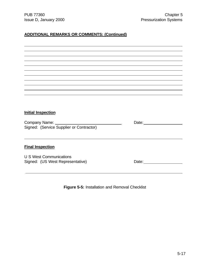$\overline{a}$ 

## **ADDITIONAL REMARKS OR COMMENTS: (Continued)**

| <b>Initial Inspection</b>                |                                                                                                                                                                                                                                      |
|------------------------------------------|--------------------------------------------------------------------------------------------------------------------------------------------------------------------------------------------------------------------------------------|
|                                          |                                                                                                                                                                                                                                      |
| Signed: (Service Supplier or Contractor) |                                                                                                                                                                                                                                      |
|                                          |                                                                                                                                                                                                                                      |
|                                          |                                                                                                                                                                                                                                      |
|                                          |                                                                                                                                                                                                                                      |
| <b>Final Inspection</b>                  |                                                                                                                                                                                                                                      |
|                                          |                                                                                                                                                                                                                                      |
| <b>U S West Communications</b>           |                                                                                                                                                                                                                                      |
| Signed: (US West Representative)         | Date: <u>with the set of the set of the set of the set of the set of the set of the set of the set of the set of the set of the set of the set of the set of the set of the set of the set of the set of the set of the set of t</u> |
|                                          |                                                                                                                                                                                                                                      |

**Figure 5-5:** Installation and Removal Checklist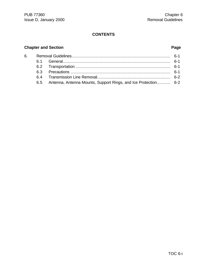## **CONTENTS**

## **Chapter and Section Page**

| 6. |                                                                    |  |
|----|--------------------------------------------------------------------|--|
|    |                                                                    |  |
|    |                                                                    |  |
|    |                                                                    |  |
|    |                                                                    |  |
|    | 6.5 Antenna, Antenna Mounts, Support Rings, and Ice Protection 6-2 |  |
|    |                                                                    |  |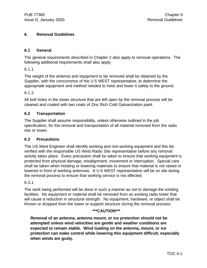#### **6. Removal Guidelines**

#### **6.1 General**

The general requirements described in Chapter 2 also apply to removal operations. The following additional requirements shall also apply.

6.1.1

The weight of the antenna and equipment to be removed shall be obtained by the Supplier, with the concurrence of the U S WEST representative, to determine the appropriate equipment and method needed to hoist and lower it safely to the ground.

#### 6.1.2

All bolt holes in the tower structure that are left open by the removal process will be cleaned and coated with two coats of Zinc Rich Cold Galvanization paint.

#### **6.2 Transportation**

The Supplier shall assume responsibility, unless otherwise outlined in the job specification, for the removal and transportation of all material removed from the radio site or tower.

#### **6.3 Precautions**

The US West Engineer shall identify working and non-working equipment and this list verified with the responsible US West Radio Site representative before any removal activity takes place. Every precaution shall be taken to ensure that working equipment is protected from physical damage, misalignment, movement or interruption. Special care shall be taken when hoisting or lowering materials to ensure that material is not raised or lowered in front of working antennas. A U S WEST representative will be on site during the removal process to ensure that working service is not affected.

#### 6.3.1

The work being performed will be done in such a manner as not to damage the existing facilities. No equipment or material shall be removed from an existing radio tower that will cause a reduction in structural strength. No equipment, hardware, or object shall be thrown or dropped from the tower or support structure during the removal process.

#### **\*\*\*CAUTION\*\*\***

**Removal of an antenna, antenna mount, or ice protection should not be attempted unless wind velocities are gentle and weather conditions are expected to remain stable. Wind loading on the antenna, mount, or ice protection can make control while lowering this equipment difficult, especially when winds are gusty.**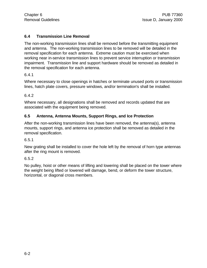#### **6.4 Transmission Line Removal**

The non-working transmission lines shall be removed before the transmitting equipment and antenna. The non-working transmission lines to be removed will be detailed in the removal specification for each antenna. Extreme caution must be exercised when working near in-service transmission lines to prevent service interruption or transmission impairment. Transmission line and support hardware should be removed as detailed in the removal specification for each antenna.

#### 6.4.1

Where necessary to close openings in hatches or terminate unused ports or transmission lines, hatch plate covers, pressure windows, and/or termination's shall be installed.

#### 6.4.2

Where necessary, all designations shall be removed and records updated that are associated with the equipment being removed.

#### **6.5 Antenna, Antenna Mounts, Support Rings, and Ice Protection**

After the non-working transmission lines have been removed, the antenna(s), antenna mounts, support rings, and antenna ice protection shall be removed as detailed in the removal specification.

#### 6.5.1

New grating shall be installed to cover the hole left by the removal of horn type antennas after the ring mount is removed.

#### 6.5.2

No pulley, hoist or other means of lifting and lowering shall be placed on the tower where the weight being lifted or lowered will damage, bend, or deform the tower structure, horizontal, or diagonal cross members.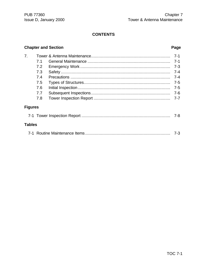## **CONTENTS**

## **Chapter and Section**

## Page

| 7 <sub>1</sub> |     |         |
|----------------|-----|---------|
|                | 7.1 | $7 - 1$ |
|                | 7.2 | $7 - 3$ |
|                | 7.3 | $7 - 4$ |
|                | 7.4 | $7 - 4$ |
|                | 7.5 | $7 - 5$ |
|                | 7.6 | $7 - 5$ |
|                | 7.7 | $7-6$   |
|                | 7.8 | $7 - 7$ |
| <b>Figures</b> |     |         |
|                |     | 7-8     |
| <b>Tables</b>  |     |         |
|                |     |         |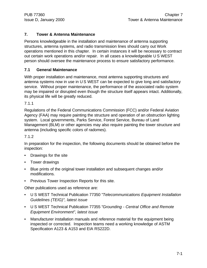#### **7. Tower & Antenna Maintenance**

Persons knowledgeable in the installation and maintenance of antenna supporting structures, antenna systems, and radio transmission lines should carry out Work operations mentioned in this chapter. In certain instances it will be necessary to contract out certain work operations and/or repair. In all cases a knowledgeable U S WEST person should oversee the maintenance process to ensure satisfactory performance.

#### **7.1 General Maintenance**

With proper installation and maintenance, most antenna supporting structures and antenna systems now in use in U S WEST can be expected to give long and satisfactory service. Without proper maintenance, the performance of the associated radio system may be impaired or disrupted even though the structure itself appears intact. Additionally, its physical life will be greatly reduced.

7.1.1

Regulations of the Federal Communications Commission (FCC) and/or Federal Aviation Agency (FAA) may require painting the structure and operation of an obstruction lighting system. Local governments, Parks Service, Forest Service, Bureau of Land Management (BLM) or other agencies may also require painting the tower structure and antenna (including specific colors of radomes).

#### 7.1.2

In preparation for the inspection, the following documents should be obtained before the inspection:

- Drawings for the site
- Tower drawings
- Blue prints of the original tower installation and subsequent changes and/or modifications.
- Previous Tower Inspection Reports for this site.

Other publications used as reference are:

- U S WEST Technical Publication 77350 "*Telecommunications Equipment Installation Guidelines (TEIG)", latest issue*
- U S WEST Technical Publication 77355 "*Grounding Central Office and Remote Equipment Environment", latest issue*
- Manufacturer installation manuals and reference material for the equipment being inspected or corrected. Inspection teams need a working knowledge of ASTM Specification A123 & A153 and EIA RS222D.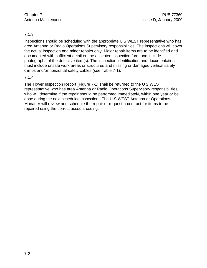#### 7.1.3

Inspections should be scheduled with the appropriate U S WEST representative who has area Antenna or Radio Operations Supervisory responsibilities. The inspections will cover the actual inspection and minor repairs only. Major repair items are to be identified and documented with sufficient detail on the accepted inspection form and include photographs of the defective item(s). The inspection identification and documentation must include unsafe work areas or structures and missing or damaged vertical safety climbs and/or horizontal safety cables (see Table 7-1).

#### 7.1.4

The Tower Inspection Report (Figure 7-1) shall be returned to the U S WEST representative who has area Antenna or Radio Operations Supervisory responsibilities, who will determine if the repair should be performed immediately, within one year or be done during the next scheduled inspection. The U S WEST Antenna or Operations Manager will review and schedule the repair or request a contract for items to be repaired using the correct account coding.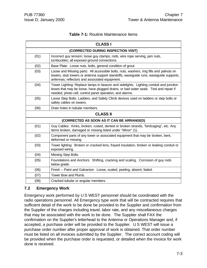|  |  | <b>Table 7-1: Routine Maintenance Items</b> |  |
|--|--|---------------------------------------------|--|
|--|--|---------------------------------------------|--|

|      | <b>CLASS I</b>                                                                                                                                                                                                                            |  |  |
|------|-------------------------------------------------------------------------------------------------------------------------------------------------------------------------------------------------------------------------------------------|--|--|
|      | (CORRECTED DURING INSPECTION VISIT)                                                                                                                                                                                                       |  |  |
| (01) | Incorrect guy tension; loose guy clamps, rods, wire rope serving, jam nuts,<br>turnbuckles; all exposed ground connections.                                                                                                               |  |  |
| (02) | Base Plate: Loose nuts, bolts, general condition of grout.                                                                                                                                                                                |  |  |
| (03) | Loose and Missing parts: All accessible bolts, nuts, washers, ring fills and palnuts on<br>towers, stub towers or antenna support standoffs, waveguide runs, waveguide supports,<br>antennas, reflectors and associated equipment.        |  |  |
| (04) | Tower Lighting: Replace lamps in beacon and sidelights. Lighting conduit and junction<br>boxes that may be loose, have plugged drains, or bad water seals. Test and repair if<br>needed, photo cell, control panel operation, and alarms. |  |  |
| (05) | Loose Step Bolts. Ladders, and Safety Climb devices used on ladders or step bolts or<br>safety cables on towers.                                                                                                                          |  |  |
| (06) | Drain holes in tubular members.                                                                                                                                                                                                           |  |  |
|      | <b>CLASS II</b>                                                                                                                                                                                                                           |  |  |
|      | (CORRECTED AS SOON AS IT CAN BE ARRANGED)                                                                                                                                                                                                 |  |  |
| (01) | Guy Cables: Kinks, broken, rusted, dented or broken strands, "birdcaging", etc. Any<br>items broken, damaged or missing listed under "Minor" (1).                                                                                         |  |  |
| (02) | Component parts of any tower or associated equipment that may be broken, bent,<br>deformed or missing.                                                                                                                                    |  |  |
| (03) | Tower lighting: Broken or cracked lens, frayed insulation, broken or leaking conduit or<br>exposed wiring.                                                                                                                                |  |  |
| (04) | Missing Step Bolts.                                                                                                                                                                                                                       |  |  |
| (05) | Foundations and Anchors: Shifting, cracking and scaling. Corrosion of guy rods<br>below grade.                                                                                                                                            |  |  |
| (06) | Finish -- Paint and Galvanize: Loose, scaled, peeling, absent, faded.                                                                                                                                                                     |  |  |
| (07) | Tower Bow and Plumb.                                                                                                                                                                                                                      |  |  |
| (08) | Cracked tubular or angular members.                                                                                                                                                                                                       |  |  |

#### **7.2 Emergency Work**

Emergency work performed by U S WEST personnel should be coordinated with the radio operations personnel. All Emergency type work that will be contracted requires that sufficient detail of the work to be done be provided to the Supplier and confirmation from the Supplier of the charges including travel, labor rate, and any miscellaneous charges that may be associated with the work to be done. The Supplier shall FAX the confirmation on the Supplier's letterhead to the Antenna or Operations Manager and, if accepted, a purchase order will be provided to the Supplier. U S WEST will issue a purchase order number after proper approval of work is obtained. That order number must be listed on all invoices submitted by the Supplier. The correct account coding will be provided when the purchase order is requested, or detailed when the invoice for work done is received.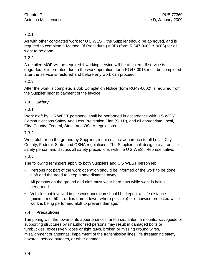#### 7.2.1

As with other contracted work for U S WEST, the Supplier should be approved, and is required to complete a Method Of Procedure (MOP) (form RG47-0005 & 0006) for all work to be done.

#### 7.2.2

A detailed MOP will be required if working service will be affected. If service is degraded or interrupted due to the work operation, form RG47-0013 must be completed after the service is restored and before any work can proceed.

#### 7.2.3

After the work is complete, a Job Completion Notice (form RG47-0002) is required from the Supplier prior to payment of the invoice.

#### **7.3 Safety**

#### 7.3.1

Work aloft by U S WEST personnel shall be performed in accordance with U S WEST Communications Safety And Loss Prevention Plan (SLLP), and all appropriate Local, City, County, Federal, State, and OSHA regulations.

#### 7.3.2

Work aloft or on the ground by Suppliers requires strict adherence to all Local, City, County, Federal, State, and OSHA regulations. The Supplier shall designate an on site safety person and discuss all safety precautions with the U S WEST Representative.

#### 7.3.3

The following reminders apply to both Suppliers and U S WEST personnel:

- Persons not part of the work operation should be informed of the work to be done aloft and the need to keep a safe distance away.
- All persons on the ground and aloft must wear hard hats while work is being performed.
- Vehicles not involved in the work operation should be kept at a safe distance (minimum of 50 ft. radius from a tower where possible) or otherwise protected while work is being performed aloft to prevent damage.

#### **7.4 Precautions**

Tampering with the tower or its appurtenances, antennas, antenna mounts, waveguide or supporting structures by unauthorized persons may result in damaged bolts or turnbuckles, excessively loose or tight guys, broken or missing ground wires, misalignment of antennas, impairment of the transmission lines, life threatening safety hazards, service outages, or other damage.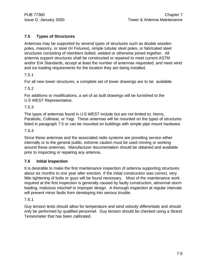### **7.5 Types of Structures**

Antennas may be supported by several types of structures such as double wooden poles, masonry, or steel (H Fixtures), simple tubular steel poles, or fabricated steel structures consisting of members bolted, welded or otherwise joined together. All antenna support structures shall be constructed or repaired to meet current ASTM and/or EIA Standards, accept at least the number of antennas requested, and meet wind and ice loading requirements for the location they are being installed.

#### 7.5.1

For all new tower structures, a complete set of tower drawings are to be available.

7.5.2

For additions or modifications, a set of as built drawings will be furnished to the U S WEST Representative.

#### 7.5.3

The types of antennas found in U S WEST include but are not limited to; Horns, Parabolic, Collinear, or Yagi. These antennas will be mounted on the types of structures listed in paragraph 7.5 or can be mounted on buildings with simple pipe mount hardware.

#### 7.5.4

Since these antennas and the associated radio systems are providing service either internally or to the general public, extreme caution must be used moving or working around these antennas. Manufacturer documentation should be obtained and available prior to inspecting or repairing any antenna.

#### **7.6 Initial Inspection**

It is desirable to make the first maintenance inspection of antenna supporting structures about six months to one year after erection. If the initial construction was correct, very little tightening of bolts or guys will be found necessary. Most of the maintenance work required at the first inspection is generally caused by faulty construction, abnormal storm loading, malicious mischief or improper design. A thorough inspection at regular intervals will prevent minor faults from developing into serious trouble.

#### 7.6.1

Guy tension tests should allow for temperature and wind velocity differentials and should only be performed by qualified personnel. Guy tension should be checked using a Strand Tensiometer that has been calibrated.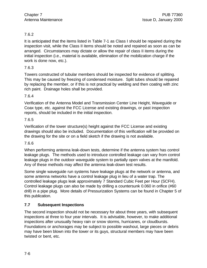#### 7.6.2

It is anticipated that the items listed in Table 7-1 as Class I should be repaired during the inspection visit, while the Class II items should be noted and repaired as soon as can be arranged. Circumstances may dictate or allow the repair of class II items during the initial inspection (i.e., material is available, elimination of the mobilization charge if the work is done now, etc.).

#### 7.6.3

Towers constructed of tubular members should be inspected for evidence of splitting. This may be caused by freezing of condensed moisture. Split tubes should be repaired by replacing the member, or if this is not practical by welding and then coating with zinc rich paint. Drainage holes shall be provided.

#### 7.6.4

Verification of the Antenna Model and Transmission Center Line Height, Waveguide or Coax type, etc. against the FCC License and existing drawings, or past inspection reports, should be included in the initial inspection.

#### 7.6.5

Verification of the tower structure(s) height against the FCC License and existing drawings should also be included. Documentation of this verification will be provided on the drawing for the site or on a field sketch if the drawing is not available.

#### 7.6.6

When performing antenna leak-down tests, determine if the antenna system has control leakage plugs. The methods used to introduce controlled leakage can vary from control leakage plugs in the outdoor waveguide system to partially open valves at the manifold. Any of these methods may affect the antenna leak-down test results.

Some single waveguide run systems have leakage plugs at the network or antenna, and some antenna networks have a control leakage plug in lieu of a water trap. The controlled leakage plugs leak approximately 7 Standard Cubic Feet per Hour (SCFH). Control leakage plugs can also be made by drilling a countersunk 0.060 in orifice (#60 drill) in a pipe plug. More details of Pressurization Systems can be found in Chapter 5 of this publication.

#### **7.7 Subsequent Inspections**

The second inspection should not be necessary for about three years, with subsequent inspections at three to four year intervals. It is advisable, however, to make additional inspections after unusually heavy rain or snow storms, hurricanes, or cloudbursts. Foundations or anchorages may be subject to possible washout, large pieces or debris may have been blown into the tower or its guys, structural members may have been twisted or bent, etc.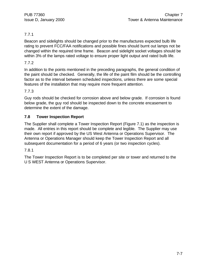## 7.7.1

Beacon and sidelights should be changed prior to the manufactures expected bulb life rating to prevent FCC/FAA notifications and possible fines should burnt out lamps not be changed within the required time frame. Beacon and sidelight socket voltages should be within 3% of the lamps rated voltage to ensure proper light output and rated bulb life.

#### 7.7.2

In addition to the points mentioned in the preceding paragraphs, the general condition of the paint should be checked. Generally, the life of the paint film should be the controlling factor as to the interval between scheduled inspections, unless there are some special features of the installation that may require more frequent attention.

#### 7.7.3

Guy rods should be checked for corrosion above and below grade. If corrosion is found below grade, the guy rod should be inspected down to the concrete encasement to determine the extent of the damage.

#### **7.8 Tower Inspection Report**

The Supplier shall complete a Tower Inspection Report (Figure 7.1) as the inspection is made. All entries in this report should be complete and legible. The Supplier may use their own report if approved by the US West Antenna or Operations Supervisor. The Antenna or Operations Manager should keep the Tower Inspection Report and all subsequent documentation for a period of 6 years (or two inspection cycles).

#### 7.8.1

The Tower Inspection Report is to be completed per site or tower and returned to the U S WEST Antenna or Operations Supervisor.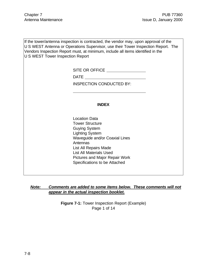If the tower/antenna inspection is contracted, the vendor may, upon approval of the U S WEST Antenna or Operations Supervisor, use their Tower Inspection Report. The Vendors Inspection Report must, at minimum, include all items identified in the U S WEST Tower Inspection Report

SITE OR OFFICE **SITE OR OFFICE** 

DATE **DATE** 

 $\overline{a}$ 

INSPECTION CONDUCTED BY:

#### **INDEX**

Location Data Tower Structure Guying System Lighting System Waveguide and/or Coaxial Lines Antennas List All Repairs Made List All Materials Used Pictures and Major Repair Work Specifications to be Attached

#### *Note: Comments are added to some items below. These comments will not appear in the actual inspection booklet.*

**Figure 7-1:** Tower Inspection Report (Example) Page 1 of 14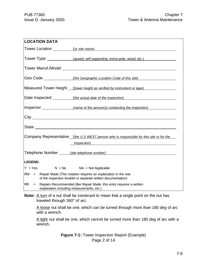| <b>LOCATION DATA</b>                                          |                                                                                                                                                                                                                                      |
|---------------------------------------------------------------|--------------------------------------------------------------------------------------------------------------------------------------------------------------------------------------------------------------------------------------|
|                                                               | Tower Location (or site name)                                                                                                                                                                                                        |
|                                                               | Tower Type ______________(guyed, self supporting, mono-pole, wood, etc.)                                                                                                                                                             |
|                                                               |                                                                                                                                                                                                                                      |
|                                                               |                                                                                                                                                                                                                                      |
|                                                               | Measured Tower Height (tower height as verified by instrument or tape)                                                                                                                                                               |
|                                                               | Date Inspected (the actual date of the inspection)                                                                                                                                                                                   |
|                                                               | Inspector <i>(name of the person(s) conducting the inspection</i> )                                                                                                                                                                  |
|                                                               |                                                                                                                                                                                                                                      |
|                                                               |                                                                                                                                                                                                                                      |
|                                                               | Company Representative (the US WEST person who is responsible for this site or for the                                                                                                                                               |
|                                                               | <i>Inspection</i> ) and the contract of the contract of the contract of the contract of the contract of the contract of the contract of the contract of the contract of the contract of the contract of the contract of the contract |
|                                                               | Telephone Number <i>(site telephone number)</i> and the manufacture of the manufacture of the manufacture of the manufacture of the manufacture of the manufacture of the manufacture of the manufacture of the manufacture of the   |
| <b>LEGEND:</b>                                                |                                                                                                                                                                                                                                      |
| $Y = Yes$ $N = No$ $NA = Not Applicable$                      |                                                                                                                                                                                                                                      |
| <b>RM</b><br>$=$                                              | Repair Made (This notation requires an explanation in the rear<br>of the inspection booklet or separate written documentation)                                                                                                       |
| <b>RR</b><br>$=$<br>explanation including measurements, etc.) | Repairs Recommended (like Repair Made, this entry requires a written                                                                                                                                                                 |

**Note:** A turn of a nut shall be construed to mean that a single point on the nut has traveled through 360° of arc.

A loose nut shall be one, which can be turned through more than 180 deg of arc with a wrench.

A tight nut shall be one, which cannot be turned more than 180 deg of arc with a wrench.

> **Figure 7-1:** Tower Inspection Report (Example) Page 2 of 14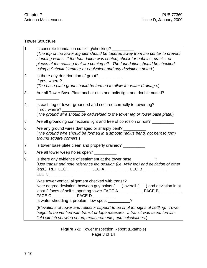## **Tower Structure**

| 1. | Is concrete foundation cracking/checking? _<br>(The top of the tower leg pier should be tapered away from the center to prevent<br>standing water. If the foundation was coated, check for bubbles, cracks, or<br>pieces of the coating that are coming off. The foundation should be checked<br>using a Schmitt Hammer or equivalent and any deviations noted.) |
|----|------------------------------------------------------------------------------------------------------------------------------------------------------------------------------------------------------------------------------------------------------------------------------------------------------------------------------------------------------------------|
| 2. | Is there any deterioration of grout?<br>If yes, where? $\overline{\phantom{a}}$<br>(The base plate grout should be formed to allow for water drainage.)                                                                                                                                                                                                          |
| 3. | Are all Tower Base Plate anchor nuts and bolts tight and double nutted?                                                                                                                                                                                                                                                                                          |
| 4. | Is each leg of tower grounded and secured correctly to tower leg?<br>If not, where?<br>(The ground wire should be cadwelded to the tower leg or tower base plate.)                                                                                                                                                                                               |
| 5. | Are all grounding connections tight and free of corrosion or rust?                                                                                                                                                                                                                                                                                               |
| 6. | Are any ground wires damaged or sharply bent?<br>(The ground wire should be formed in a smooth radius bend, not bent to form<br>around square corners.)                                                                                                                                                                                                          |
| 7. | Is tower base plate clean and properly drained?                                                                                                                                                                                                                                                                                                                  |
| 8. | Are all tower weep holes open?                                                                                                                                                                                                                                                                                                                                   |
| 9. | Is there any evidence of settlement at the tower base 11 100 m<br>(Use transit and note reference leg position (i.e. N/W leg) and deviation of other<br>legs.) REF LEG ______________ LEG A ____________ LEG B __________<br>LEG C                                                                                                                               |
|    | Was tower vertical alignment checked with transit?<br>Note degree deviation; between guy points () overall () and deviation in at<br>Is water shedding a problem, low spots ___________?                                                                                                                                                                         |
|    | (Elevations of tower and reflector support to be shot for signs of settling. Tower<br>height to be verified with transit or tape measure. If transit was used, furnish<br>field sketch showing setup, measurements, and calculations.)                                                                                                                           |

**Figure 7-1:** Tower Inspection Report (Example) Page 3 of 14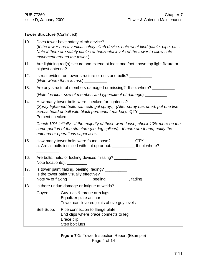## **Tower Structure** (Continued)

| 10. |                                                                                                                                                                                   | Does tower have safety climb device?<br>(If the tower has a vertical safety climb device, note what kind (cable, pipe, etc<br>Note if there are safety cables at horizontal levels of the tower to allow safe<br>movement around the tower.)                                                                                                                                                                                                |  |  |
|-----|-----------------------------------------------------------------------------------------------------------------------------------------------------------------------------------|---------------------------------------------------------------------------------------------------------------------------------------------------------------------------------------------------------------------------------------------------------------------------------------------------------------------------------------------------------------------------------------------------------------------------------------------|--|--|
| 11. | Are lightning rod(s) secure and extend at least one foot above top light fixture or<br>highest antenna? ___________                                                               |                                                                                                                                                                                                                                                                                                                                                                                                                                             |  |  |
| 12. | Is rust evident on tower structure or nuts and bolts? ___________<br>(Note where there is rust.) $\frac{1}{1}$                                                                    |                                                                                                                                                                                                                                                                                                                                                                                                                                             |  |  |
| 13. |                                                                                                                                                                                   | Are any structural members damaged or missing? If so, where?                                                                                                                                                                                                                                                                                                                                                                                |  |  |
|     |                                                                                                                                                                                   | (Note location, size of member, and type/extent of damage) _____________________                                                                                                                                                                                                                                                                                                                                                            |  |  |
| 14. |                                                                                                                                                                                   | How many tower bolts were checked for tightness?<br>(Spray tightened bolts with cold gal spray.) (After spray has dried, put one line<br>across head of bolt with black permanent marker). QTY __________<br>Percent checked is a series of the series of the series of the series of the series of the series of the series of the series of the series of the series of the series of the series of the series of the series of the serie |  |  |
|     |                                                                                                                                                                                   | Check 10% initially. If the majority of these were loose, check 10% more on the<br>same portion of the structure (i.e. leg splices). If more are found, notify the<br>antenna or operations supervisor.                                                                                                                                                                                                                                     |  |  |
| 15. |                                                                                                                                                                                   | How many tower bolts were found loose? ______________ QTY _____<br>a. Are all bolts installed with nut up or out. ___________ If not where?                                                                                                                                                                                                                                                                                                 |  |  |
| 16. |                                                                                                                                                                                   | Are bolts, nuts, or locking devices missing?<br>Note location(s). ___________                                                                                                                                                                                                                                                                                                                                                               |  |  |
| 17. | Is tower paint flaking, peeling, fading? ___________<br>Is the tower paint visually effective? ___________<br>Note % of flaking ___________, peeling _________, fading _________. |                                                                                                                                                                                                                                                                                                                                                                                                                                             |  |  |
| 18. | Is there undue damage or fatigue at welds?                                                                                                                                        |                                                                                                                                                                                                                                                                                                                                                                                                                                             |  |  |
|     | Guyed:                                                                                                                                                                            | Guy lugs & torque arm lugs<br>Equalizer plate anchor<br>Tower cantilevered joints above guy levels                                                                                                                                                                                                                                                                                                                                          |  |  |
|     | Self-Supp:                                                                                                                                                                        | Pipe connection to flange plate<br>End clips where brace connects to leg<br>Brace clip<br>Step bolt lugs                                                                                                                                                                                                                                                                                                                                    |  |  |

**Figure 7-1:** Tower Inspection Report (Example) Page 4 of 14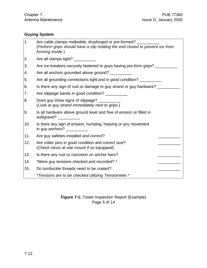## **Guying System**

| 1.  | Are cable clamps malleable, dropforged or pre-formed?<br>(Perform grips should have a clip holding the end closed to prevent ice from<br>forming inside.)                  |
|-----|----------------------------------------------------------------------------------------------------------------------------------------------------------------------------|
| 2.  | Are all clamps tight? __________                                                                                                                                           |
| 3.  | Are ice breakers securely fastened to guys having pre-form grips?                                                                                                          |
| 4.  | Are all anchors grounded above ground? ___________                                                                                                                         |
| 5.  | Are all grounding connections tight and in good condition? ___________                                                                                                     |
| 6.  | Is there any sign of rust or damage to guy strand or guy hardware? ________                                                                                                |
| 7.  | Are slippage bands in good condition?                                                                                                                                      |
| 8.  | Does guy show signs of slippage? ______<br>(Look at guy strand immediately next to grips.)                                                                                 |
| 9.  | Is all hardware above ground level and free of erosion or filled in<br>soil/gravel? ___________                                                                            |
| 10. | Is there any sign of erosion, humping, heaving or any movement<br>in guy anchors? $\frac{1}{\sqrt{1-\frac{1}{2}}\sqrt{1-\frac{1}{2}}\left(\frac{1}{2}-\frac{1}{2}\right)}$ |
| 11. | Are guy safeties installed and correct?                                                                                                                                    |
| 12. | Are cotter pins in good condition and correct size?<br>(Check clevis at star mount if so equipped)                                                                         |
| 13. | Is there any rust or corrosion on anchor bars?                                                                                                                             |
| 14. | *Were guy tensions checked and recorded? *                                                                                                                                 |
| 15. | Do turnbuckle threads need to be coated?                                                                                                                                   |
|     | *Tensions are to be checked utilizing Tensiometer.*                                                                                                                        |

**Figure 7-1:** Tower Inspection Report (Example) Page 5 of 14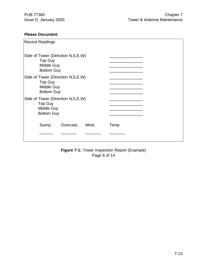### **Please Document**

| <b>Record Readings</b>                                                                    |       |      |  |
|-------------------------------------------------------------------------------------------|-------|------|--|
| Side of Tower (Direction N, S, E, W)<br><b>Top Guy</b><br>Middle Guy<br><b>Bottom Guy</b> |       |      |  |
| Side of Tower (Direction N, S, E, W)<br><b>Top Guy</b><br>Middle Guy<br><b>Bottom Guy</b> |       |      |  |
| Side of Tower (Direction N, S, E, W)<br><b>Top Guy</b><br>Middle Guy<br><b>Bottom Guy</b> |       |      |  |
| Sunny,<br>Overcast,                                                                       | Wind, | Temp |  |
|                                                                                           |       |      |  |

**Figure 7-1:** Tower Inspection Report (Example) Page 6 of 14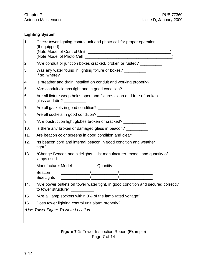## **Lighting System**

| 1.  | Check tower lighting control unit and photo cell for proper operation.<br>(If equipped)<br>(Note Model of Photo Cell <b>Community</b> 1999) (Note Model of Photo Cell <b>Community</b> 2008)                                                                                                                                                |
|-----|---------------------------------------------------------------------------------------------------------------------------------------------------------------------------------------------------------------------------------------------------------------------------------------------------------------------------------------------|
| 2.  | *Are conduit or junction boxes cracked, broken or rusted? ___________                                                                                                                                                                                                                                                                       |
| 3.  | Was any water found in lighting fixture or boxes? __________<br>If so, where? $\sqrt{ }$                                                                                                                                                                                                                                                    |
| 4.  | Is breather and drain installed on conduit and working properly?                                                                                                                                                                                                                                                                            |
| 5.  | *Are conduit clamps tight and in good condition? ___________                                                                                                                                                                                                                                                                                |
| 6.  | Are all fixture weep holes open and fixtures clean and free of broken                                                                                                                                                                                                                                                                       |
| 7.  | Are all gaskets in good condition? ___________                                                                                                                                                                                                                                                                                              |
| 8.  | Are all sockets in good condition?                                                                                                                                                                                                                                                                                                          |
| 9.  | *Are obstruction light globes broken or cracked? ___________                                                                                                                                                                                                                                                                                |
| 10. | Is there any broken or damaged glass in beacon? ___________                                                                                                                                                                                                                                                                                 |
| 11. | Are beacon color screens in good condition and clear?                                                                                                                                                                                                                                                                                       |
| 12. | *Is beacon cord and internal beacon in good condition and weather                                                                                                                                                                                                                                                                           |
| 13. | *Change Beacon and sidelights. List manufacturer, model, and quantity of<br>lamps used:                                                                                                                                                                                                                                                     |
|     | <b>Manufacturer Model</b><br>Quantity                                                                                                                                                                                                                                                                                                       |
|     | Beacon<br>$\frac{1}{2}$ $\frac{1}{2}$ $\frac{1}{2}$ $\frac{1}{2}$ $\frac{1}{2}$ $\frac{1}{2}$ $\frac{1}{2}$ $\frac{1}{2}$ $\frac{1}{2}$ $\frac{1}{2}$ $\frac{1}{2}$ $\frac{1}{2}$ $\frac{1}{2}$ $\frac{1}{2}$ $\frac{1}{2}$ $\frac{1}{2}$ $\frac{1}{2}$ $\frac{1}{2}$ $\frac{1}{2}$ $\frac{1}{2}$ $\frac{1}{2}$ $\frac{1}{2}$<br>SideLights |
| 14. | *Are power outlets on tower water tight, in good condition and secured correctly<br>to tower structure? ____________                                                                                                                                                                                                                        |
| 15. | *Are all lamp sockets within 3% of the lamp rated voltage?                                                                                                                                                                                                                                                                                  |
| 16. | Does tower lighting control unit alarm properly? ____________                                                                                                                                                                                                                                                                               |
|     | *Use Tower Figure To Note Location                                                                                                                                                                                                                                                                                                          |
|     |                                                                                                                                                                                                                                                                                                                                             |

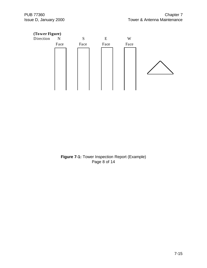

**Figure 7-1:** Tower Inspection Report (Example) Page 8 of 14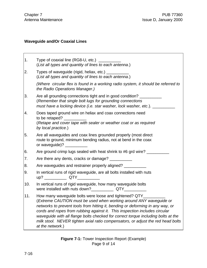## **Waveguide and/Or Coaxial Lines**

| 1.  | Type of coaxial line (RG8-U, etc.)<br>(List all types and quantity of lines to each antenna.)                                                                                                                                                                                                                                                                                                                                                                                              |
|-----|--------------------------------------------------------------------------------------------------------------------------------------------------------------------------------------------------------------------------------------------------------------------------------------------------------------------------------------------------------------------------------------------------------------------------------------------------------------------------------------------|
| 2.  | Types of waveguide (rigid, heliax, etc.) _________<br>(List all types and quantity of lines to each antenna.)                                                                                                                                                                                                                                                                                                                                                                              |
|     | (Where circular flex is found in a working radio system, it should be referred to<br>the Radio Operations Manager.)                                                                                                                                                                                                                                                                                                                                                                        |
| 3.  | Are all grounding connections tight and in good condition?<br>(Remember that single bolt lugs for grounding connections<br>must have a locking device (i.e. star washer, lock washer, etc.).                                                                                                                                                                                                                                                                                               |
| 4.  | Does taped ground wire on heliax and coax connections need<br>to be retaped?<br>(Retape and cover tape with sealer or weather coat or as required<br>by local practice.)                                                                                                                                                                                                                                                                                                                   |
| 5.  | Are all waveguides and coax lines grounded properly (most direct<br>route to ground, minimum bending radius, not at bend in the coax<br>or waveguide)? ______                                                                                                                                                                                                                                                                                                                              |
| 6.  | Are ground crimp lugs sealed with heat shrink to #6 grd wire?                                                                                                                                                                                                                                                                                                                                                                                                                              |
| 7.  | Are there any dents, cracks or damage?                                                                                                                                                                                                                                                                                                                                                                                                                                                     |
| 8.  | Are waveguides and restrainer properly aligned?                                                                                                                                                                                                                                                                                                                                                                                                                                            |
| 9.  | In vertical runs of rigid waveguide, are all bolts installed with nuts                                                                                                                                                                                                                                                                                                                                                                                                                     |
| 10. | In vertical runs of rigid waveguide, how many waveguide bolts                                                                                                                                                                                                                                                                                                                                                                                                                              |
| 11. | How many waveguide bolts were loose and tightened? QTY_<br>(Extreme CAUTION must be used when working around ANY waveguide or<br>networks to prevent tools from hitting it, bending or deforming in any way, or<br>cords and ropes from rubbing against it. This inspection includes circular<br>waveguide with all flange bolts checked for correct torque including bolts at the<br>milk stool. NEVER tighten axial ratio compensators, or adjust the red head bolts<br>at the network.) |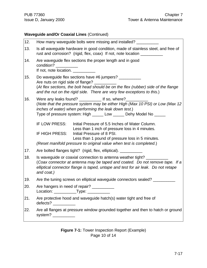## **Waveguide and/Or Coaxial Lines** (Continued)

| 12. | How many waveguide bolts were missing and installed?                                                                                                                                                                                                                                           |
|-----|------------------------------------------------------------------------------------------------------------------------------------------------------------------------------------------------------------------------------------------------------------------------------------------------|
| 13. | Is all waveguide hardware in good condition, made of stainless steel, and free of<br>rust and corrosion? (rigid, flex, coax) If not, note location ____________                                                                                                                                |
| 14. | Are waveguide flex sections the proper length and in good<br>condition?<br>If not, note location. _________                                                                                                                                                                                    |
| 15. | Do waveguide flex sections have #6 jumpers?<br>Are nuts on rigid side of flange?<br>(At flex sections, the bolt head should be on the flex (rubber) side of the flange<br>and the nut on the rigid side. There are very few exceptions to this.)                                               |
| 16. | Were any leaks found? _____________ If so, where?_________<br>(Note that the pressure system may be either High (Max 10 PSI) or Low (Max 12<br>inches of water) when performing the leak down test.)<br>Type of pressure system: High ______ Low ______ Dehy Model No _____                    |
|     | IF LOW PRESS:<br>Initial Pressure of 5.5 Inches of Water Column.<br>Less than 1 inch of pressure loss in 4 minutes.<br>IF HIGH PRESS:<br>Initial Pressure of 8 PSI.<br>Less than 1 pound of pressure loss in 5 minutes.<br>(Reset manifold pressure to original value when test is completed.) |
| 17. | Are bolted flanges tight? (rigid, flex, elliptical). _____________                                                                                                                                                                                                                             |
| 18. | Is waveguide or coaxial connection to antenna weather tight?<br>(Coax connector at antenna may be taped and coated. Do not remove tape. If a<br>elliptical connector flange is taped, untape and test for air leak. Do not retape<br>and coat.)                                                |
| 19. | Are the tuning screws on elliptical waveguide connectors sealed? ___                                                                                                                                                                                                                           |
| 20. | Are hangers in need of repair?<br>Location: ______________Type: ____________                                                                                                                                                                                                                   |
| 21. | Are protective hood and waveguide hatch(s) water tight and free of                                                                                                                                                                                                                             |
| 22. | Are all flanges at pressure window grounded together and then to hatch or ground<br>system? $\frac{1}{2}$                                                                                                                                                                                      |

**Figure 7-1:** Tower Inspection Report (Example) Page 10 of 14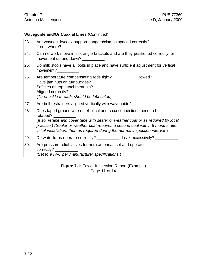## **Waveguide and/Or Coaxial Lines** (Continued)

| 23. | Are waveguide/coax support hangers/clamps spaced correctly?<br>If not, where? $\sqrt{ }$                                                                                                                                                                                                                                                   |
|-----|--------------------------------------------------------------------------------------------------------------------------------------------------------------------------------------------------------------------------------------------------------------------------------------------------------------------------------------------|
| 24. | Can network move in slot angle brackets and are they positioned correctly for<br>movement up and down?                                                                                                                                                                                                                                     |
| 25. | Do milk stools have all bolts in place and have sufficient adjustment for vertical                                                                                                                                                                                                                                                         |
| 26. | Are temperature compensating rods tight? ________________ Bowed? _______________<br>Have jam nuts on turnbuckles?<br>Safeties on top attachment pin? ___________<br>Aligned correctly? ___________<br>(Turnbuckle threads should be lubricated)                                                                                            |
| 27. | Are bell restrainers aligned vertically with waveguide? ___________                                                                                                                                                                                                                                                                        |
| 28. | Does taped ground wire on elliptical and coax connections need to be<br>retaped?<br>(If so, retape and cover tape with sealer or weather coat or as required by local<br>practice.) (Sealer or weather coat requires a second coat within 6 months after<br>initial installation, then as required during the normal inspection interval.) |
| 29. | Do watertraps operate correctly? ______________ Leak excessively? _____________                                                                                                                                                                                                                                                            |
| 30. | Are pressure relief valves for horn antennas set and operate<br>(Set to 9 IWC per manufacturer specifications.)                                                                                                                                                                                                                            |

**Figure 7-1:** Tower Inspection Report (Example) Page 11 of 14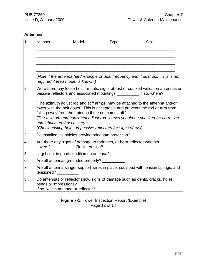#### **Antennas**

| 1. | Number                | Model                                                                                                                                                                                                                                                                                                                                                                                                       | <b>Type</b> | <b>Size</b> |  |
|----|-----------------------|-------------------------------------------------------------------------------------------------------------------------------------------------------------------------------------------------------------------------------------------------------------------------------------------------------------------------------------------------------------------------------------------------------------|-------------|-------------|--|
|    |                       |                                                                                                                                                                                                                                                                                                                                                                                                             |             |             |  |
|    |                       | (Note if the antenna feed is single or dual frequency and if dual pol. This is not<br>required if feed model is known.)                                                                                                                                                                                                                                                                                     |             |             |  |
| 2. |                       | Were there any loose bolts or nuts, signs of rust or cracked welds on antennas or<br>passive reflectors and associated mountings ____________ If so, where?                                                                                                                                                                                                                                                 |             |             |  |
|    |                       | (The azimuth adjust rod and stiff arm(s) may be attached to the antenna and/or<br>tower with the bolt down. This is acceptable and prevents the rod or arm from<br>falling away from the antenna if the nut comes off.)<br>(The azimuth and horizontal adjust rod screws should be checked for corrosion<br>and lubricated if necessary.)<br>(Check casting bolts on passive reflectors for signs of rust). |             |             |  |
| 3. |                       | Do installed ice shields provide adequate protection?                                                                                                                                                                                                                                                                                                                                                       |             |             |  |
| 4. |                       | Are there any signs of damage to radomes, or horn reflector weather                                                                                                                                                                                                                                                                                                                                         |             |             |  |
| 5. |                       | Is gel-coat in good condition on antenna?                                                                                                                                                                                                                                                                                                                                                                   |             |             |  |
| 6. |                       | Are all antennas grounded properly?                                                                                                                                                                                                                                                                                                                                                                         |             |             |  |
| 7. | tensioned?            | Are all antenna stinger support wires in place, equipped with tension springs, and                                                                                                                                                                                                                                                                                                                          |             |             |  |
| 8. | bends or impressions? | Do antennas or reflector show signs of damage such as dents, cracks, holes,<br>If so, which antenna or reflector?                                                                                                                                                                                                                                                                                           |             |             |  |

**Figure 7-1:** Tower Inspection Report (Example) Page 12 of 14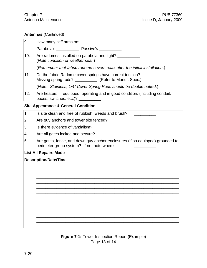#### **Antennas** (Continued)

| 9.  | How many stiff arms on:                                                                                                     |  |  |
|-----|-----------------------------------------------------------------------------------------------------------------------------|--|--|
|     |                                                                                                                             |  |  |
|     |                                                                                                                             |  |  |
| 10. | Are radomes installed on parabola and tight?<br>(Note condition of weather seal.)                                           |  |  |
|     | (Remember that fabric radome covers relax after the initial installation.)                                                  |  |  |
| 11. | Do the fabric Radome cover springs have correct tension?<br>Missing spring rods? _____________ (Refer to Manuf. Spec.)      |  |  |
|     | (Note: Stainless, 1/4" Cover Spring Rods should be double nutted.)                                                          |  |  |
| 12. | Are heaters, if equipped, operating and in good condition, (including conduit,                                              |  |  |
|     | <b>Site Appearance &amp; General Condition</b>                                                                              |  |  |
| 1.  | Is site clean and free of rubbish, weeds and brush?                                                                         |  |  |
| 2.  | Are guy anchors and tower site fenced?                                                                                      |  |  |
| 3.  | Is there evidence of vandalism?                                                                                             |  |  |
| 4.  | Are all gates locked and secure?                                                                                            |  |  |
| 5.  | Are gates, fence, and down guy anchor enclosures (if so equipped) grounded to<br>perimeter group system? If no, note where. |  |  |
|     | <b>List All Repairs Made</b>                                                                                                |  |  |
|     | <b>Description/Date/Time</b>                                                                                                |  |  |
|     |                                                                                                                             |  |  |
|     |                                                                                                                             |  |  |
|     |                                                                                                                             |  |  |
|     |                                                                                                                             |  |  |
|     |                                                                                                                             |  |  |
|     |                                                                                                                             |  |  |

\_\_\_\_\_\_\_\_\_\_\_\_\_\_\_\_\_\_\_\_\_\_\_\_\_\_\_\_\_\_\_\_\_\_\_\_\_\_\_\_\_\_\_\_\_\_\_\_\_\_\_\_\_\_\_\_\_\_\_\_\_\_\_\_ \_\_\_\_\_\_\_\_\_\_\_\_\_\_\_\_\_\_\_\_\_\_\_\_\_\_\_\_\_\_\_\_\_\_\_\_\_\_\_\_\_\_\_\_\_\_\_\_\_\_\_\_\_\_\_\_\_\_\_\_\_\_\_\_

\_\_\_\_\_\_\_\_\_\_\_\_\_\_\_\_\_\_\_\_\_\_\_\_\_\_\_\_\_\_\_\_\_\_\_\_\_\_\_\_\_\_\_\_\_\_\_\_\_\_\_\_\_\_\_\_\_\_\_\_\_\_\_\_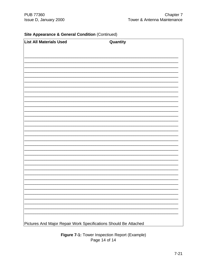### Site Appearance & General Condition (Continued)

| <b>List All Materials Used</b> | Quantity |  |
|--------------------------------|----------|--|
|                                |          |  |
|                                |          |  |
|                                |          |  |
|                                |          |  |
|                                |          |  |
|                                |          |  |
|                                |          |  |
|                                |          |  |
|                                |          |  |
|                                |          |  |
|                                |          |  |
|                                |          |  |
|                                |          |  |
|                                |          |  |
|                                |          |  |
|                                |          |  |
|                                |          |  |
|                                |          |  |
|                                |          |  |
|                                |          |  |
|                                |          |  |
|                                |          |  |
|                                |          |  |
|                                |          |  |
|                                |          |  |
|                                |          |  |

Figure 7-1: Tower Inspection Report (Example) Page 14 of 14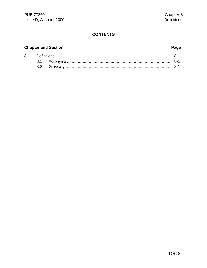#### **CONTENTS**

#### **Chapter and Section**

8.

# 

8.1 8.2

#### Page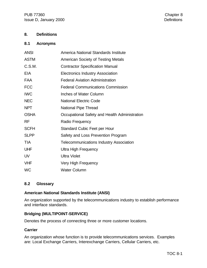#### **8. Definitions**

#### **8.1 Acronyms**

| <b>ANSI</b> | America National Standards Institute           |
|-------------|------------------------------------------------|
| <b>ASTM</b> | <b>American Society of Testing Metals</b>      |
| C.S.M.      | <b>Contractor Specification Manual</b>         |
| EIA         | <b>Electronics Industry Association</b>        |
| FAA         | <b>Federal Aviation Administration</b>         |
| <b>FCC</b>  | <b>Federal Communications Commission</b>       |
| <b>IWC</b>  | Inches of Water Column                         |
| <b>NEC</b>  | <b>National Electric Code</b>                  |
| <b>NPT</b>  | National Pipe Thread                           |
| <b>OSHA</b> | Occupational Safety and Health Administration  |
| <b>RF</b>   | Radio Frequency                                |
| <b>SCFH</b> | <b>Standard Cubic Feet per Hour</b>            |
| <b>SLPP</b> | Safety and Loss Prevention Program             |
| <b>TIA</b>  | <b>Telecommunications Industry Association</b> |
| <b>UHF</b>  | <b>Ultra High Frequency</b>                    |
| <b>UV</b>   | <b>Ultra Violet</b>                            |
| <b>VHF</b>  | Very High Frequency                            |
| <b>WC</b>   | <b>Water Column</b>                            |

#### **8.2 Glossary**

#### **American National Standards Institute (ANSI)**

An organization supported by the telecommunications industry to establish performance and interface standards.

#### **Bridging (MULTIPOINT-SERVICE)**

Denotes the process of connecting three or more customer locations.

#### **Carrier**

An organization whose function is to provide telecommunications services. Examples are: Local Exchange Carriers, Interexchange Carriers, Cellular Carriers, etc.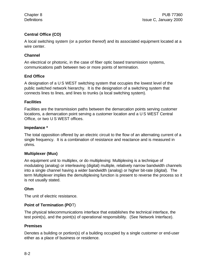#### **Central Office (CO)**

A local switching system (or a portion thereof) and its associated equipment located at a wire center.

#### **Channel**

An electrical or photonic, in the case of fiber optic based transmission systems, communications path between two or more points of termination.

#### **End Office**

A designation of a U S WEST switching system that occupies the lowest level of the public switched network hierarchy. It is the designation of a switching system that connects lines to lines, and lines to trunks (a local switching system).

#### **Facilities**

Facilities are the transmission paths between the demarcation points serving customer locations, a demarcation point serving a customer location and a U S WEST Central Office, or two U S WEST offices.

#### **Impedance \***

The total opposition offered by an electric circuit to the flow of an alternating current of a single frequency. It is a combination of resistance and reactance and is measured in ohms.

#### **Multiplexer (Mux)**

An equipment unit to multiplex, or do multiplexing: Multiplexing is a technique of modulating (analog) or interleaving (digital) multiple, relatively narrow bandwidth channels into a single channel having a wider bandwidth (analog) or higher bit-rate (digital). The term Multiplexer implies the demultiplexing function is present to reverse the process so it is not usually stated.

#### **Ohm**

The unit of electric resistance.

#### **Point of Termination (PO**T)

The physical telecommunications interface that establishes the technical interface, the test point(s), and the point(s) of operational responsibility. (See Network Interface).

#### **Premises**

Denotes a building or portion(s) of a building occupied by a single customer or end-user either as a place of business or residence.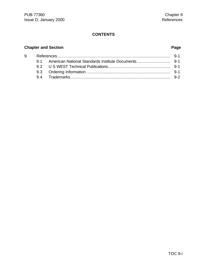### **CONTENTS**

## **Chapter and Section Page**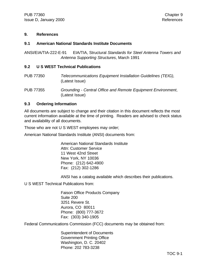#### **9. References**

#### **9.1 American National Standards Institute Documents**

ANSI/EIA/TIA-222-E-91 EIA/TIA, Structural *Standards for Steel Antenna Towers and Antenna Supporting Structures*, March 1991

#### **9.2 U S WEST Technical Publications**

PUB 77350 *Telecommunications Equipment Installation Guidelines (TEIG),* (Latest Issue)

PUB 77355 *Grounding - Central Office and Remote Equipment Environment*, (Latest Issue)

#### **9.3 Ordering Information**

All documents are subject to change and their citation in this document reflects the most current information available at the time of printing. Readers are advised to check status and availability of all documents.

Those who are not U S WEST employees may order;

American National Standards Institute (ANSI) documents from:

American National Standards Institute Attn: Customer Service 11 West 42nd Street New York, NY 10036 Phone: (212) 642-4900 Fax: (212) 302-1286

ANSI has a catalog available which describes their publications.

U S WEST Technical Publications from:

Faison Office Products Company Suite 200 3251 Revere St. Aurora, CO 80011 Phone: (800) 777-3672 Fax: (303) 340-1905

Federal Communications Commission (FCC) documents may be obtained from:

Superintendent of Documents Government Printing Office Washington, D. C. 20402 Phone: 202 783-3238